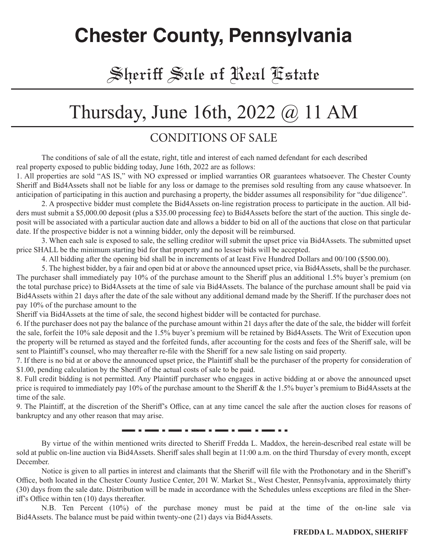### **Chester County, Pennsylvania**

#### Sheriff Sale of Real Estate

### Thursday, June 16th, 2022 @ 11 AM

#### CONDITIONS OF SALE

The conditions of sale of all the estate, right, title and interest of each named defendant for each described real property exposed to public bidding today, June 16th, 2022 are as follows:

1. All properties are sold "AS IS," with NO expressed or implied warranties OR guarantees whatsoever. The Chester County Sheriff and Bid4Assets shall not be liable for any loss or damage to the premises sold resulting from any cause whatsoever. In anticipation of participating in this auction and purchasing a property, the bidder assumes all responsibility for "due diligence".

2. A prospective bidder must complete the Bid4Assets on-line registration process to participate in the auction. All bidders must submit a \$5,000.00 deposit (plus a \$35.00 processing fee) to Bid4Assets before the start of the auction. This single deposit will be associated with a particular auction date and allows a bidder to bid on all of the auctions that close on that particular date. If the prospective bidder is not a winning bidder, only the deposit will be reimbursed.

3. When each sale is exposed to sale, the selling creditor will submit the upset price via Bid4Assets. The submitted upset price SHALL be the minimum starting bid for that property and no lesser bids will be accepted.

4. All bidding after the opening bid shall be in increments of at least Five Hundred Dollars and 00/100 (\$500.00).

5. The highest bidder, by a fair and open bid at or above the announced upset price, via Bid4Assets, shall be the purchaser. The purchaser shall immediately pay 10% of the purchase amount to the Sheriff plus an additional 1.5% buyer's premium (on the total purchase price) to Bid4Assets at the time of sale via Bid4Assets. The balance of the purchase amount shall be paid via Bid4Assets within 21 days after the date of the sale without any additional demand made by the Sheriff. If the purchaser does not pay 10% of the purchase amount to the

Sheriff via Bid4Assets at the time of sale, the second highest bidder will be contacted for purchase.

6. If the purchaser does not pay the balance of the purchase amount within 21 days after the date of the sale, the bidder will forfeit the sale, forfeit the 10% sale deposit and the 1.5% buyer's premium will be retained by Bid4Assets. The Writ of Execution upon the property will be returned as stayed and the forfeited funds, after accounting for the costs and fees of the Sheriff sale, will be sent to Plaintiff's counsel, who may thereafter re-file with the Sheriff for a new sale listing on said property.

7. If there is no bid at or above the announced upset price, the Plaintiff shall be the purchaser of the property for consideration of \$1.00, pending calculation by the Sheriff of the actual costs of sale to be paid.

8. Full credit bidding is not permitted. Any Plaintiff purchaser who engages in active bidding at or above the announced upset price is required to immediately pay 10% of the purchase amount to the Sheriff & the 1.5% buyer's premium to Bid4Assets at the time of the sale.

9. The Plaintiff, at the discretion of the Sheriff's Office, can at any time cancel the sale after the auction closes for reasons of bankruptcy and any other reason that may arise.

. . .<del>....</del> . .

By virtue of the within mentioned writs directed to Sheriff Fredda L. Maddox, the herein-described real estate will be sold at public on-line auction via Bid4Assets. Sheriff sales shall begin at 11:00 a.m. on the third Thursday of every month, except December.

Notice is given to all parties in interest and claimants that the Sheriff will file with the Prothonotary and in the Sheriff's Office, both located in the Chester County Justice Center, 201 W. Market St., West Chester, Pennsylvania, approximately thirty (30) days from the sale date. Distribution will be made in accordance with the Schedules unless exceptions are filed in the Sheriff's Office within ten (10) days thereafter.

N.B. Ten Percent (10%) of the purchase money must be paid at the time of the on-line sale via Bid4Assets. The balance must be paid within twenty-one (21) days via Bid4Assets.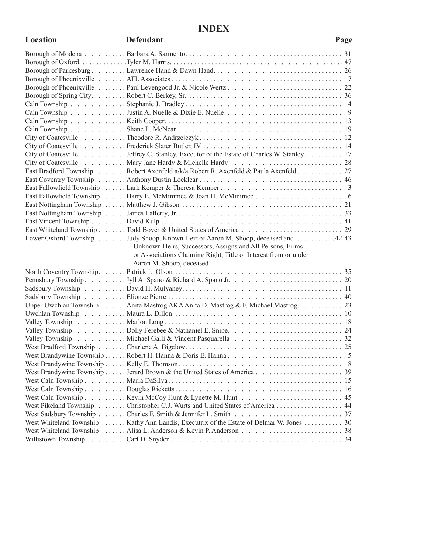#### **INDEX**

| Location | <b>Defendant</b>                                                                          | Page |
|----------|-------------------------------------------------------------------------------------------|------|
|          |                                                                                           |      |
|          |                                                                                           |      |
|          |                                                                                           |      |
|          |                                                                                           |      |
|          |                                                                                           |      |
|          |                                                                                           |      |
|          |                                                                                           |      |
|          |                                                                                           |      |
|          |                                                                                           |      |
|          |                                                                                           |      |
|          |                                                                                           |      |
|          |                                                                                           |      |
|          | City of Coatesville  Jeffrey C. Stanley, Executor of the Estate of Charles W. Stanley 17  |      |
|          |                                                                                           |      |
|          | East Bradford Township  Robert Axenfeld a/k/a Robert R. Axenfeld & Paula Axenfeld  27     |      |
|          |                                                                                           |      |
|          |                                                                                           |      |
|          |                                                                                           |      |
|          |                                                                                           |      |
|          |                                                                                           |      |
|          |                                                                                           |      |
|          |                                                                                           |      |
|          | Lower Oxford Township Judy Shoop, Known Heir of Aaron M. Shoop, deceased and 42-43        |      |
|          | Unknown Heirs, Successors, Assigns and All Persons, Firms                                 |      |
|          | or Associations Claiming Right, Title or Interest from or under                           |      |
|          | Aaron M. Shoop, deceased                                                                  |      |
|          |                                                                                           |      |
|          |                                                                                           |      |
|          |                                                                                           |      |
|          |                                                                                           |      |
|          | Upper Uwchlan Township  Anita Mastrog AKA Anita D. Mastrog & F. Michael Mastrog 23        |      |
|          |                                                                                           |      |
|          |                                                                                           |      |
|          |                                                                                           |      |
|          |                                                                                           |      |
|          |                                                                                           |      |
|          |                                                                                           |      |
|          |                                                                                           |      |
|          |                                                                                           |      |
|          |                                                                                           |      |
|          |                                                                                           |      |
|          |                                                                                           |      |
|          | West Pikeland Township Christopher C.J. Wurts and United States of America 44             |      |
|          |                                                                                           |      |
|          | West Whiteland Township  Kathy Ann Landis, Executrix of the Estate of Delmar W. Jones  30 |      |
|          |                                                                                           |      |
|          |                                                                                           |      |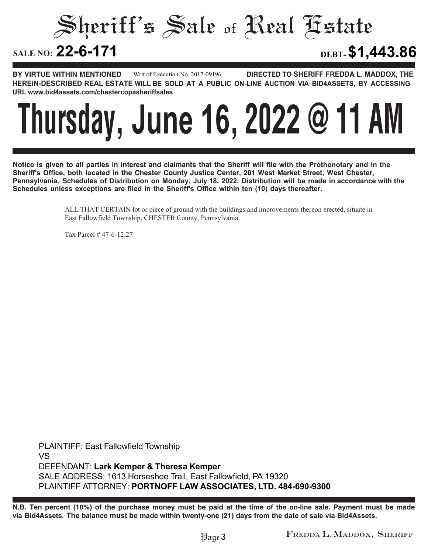Sheriff's Sale of Real Estate SALE NO: 22-6-171 **22-6-171 DEBT-\$1,443.86**

**BY VIRTUE WITHIN MENTIONED DIRECTED TO SHERIFF FREDDA L. MADDOX, THE HEREIN-DESCRIBED REAL ESTATE WILL BE SOLD AT A PUBLIC ON-LINE AUCTION VIA BID4ASSETS, BY ACCESSING URL www.bid4assets.com/chestercopasheriffsales Writ of Execution No. 2017-09196**



**Notice is given to all parties in interest and claimants that the Sheriff will file with the Prothonotary and in the Sheriff's Office, both located in the Chester County Justice Center, 201 West Market Street, West Chester, Pennsylvania, Schedules of Distribution on Monday, July 18, 2022. Distribution will be made in accordance with the Schedules unless exceptions are filed in the Sheriff's Office within ten (10) days thereafter.**

> ALL THAT CERTAIN lot or piece of ground with the buildings and improvements thereon erected, situate in East Fallowfield Township, CHESTER County, Pennsylvania.

Tax Parcel # 47-6-12.27

**PLAINTIFF: East Fallowfield Township VS DEFENDANT: Lark Kemper & Theresa Kemper SALE ADDRESS: 1613 Horseshoe Trail, East Fallowfield, PA 19320 PLAINTIFF ATTORNEY: PORTNOFF LAW ASSOCIATES, LTD. 484-690-9300**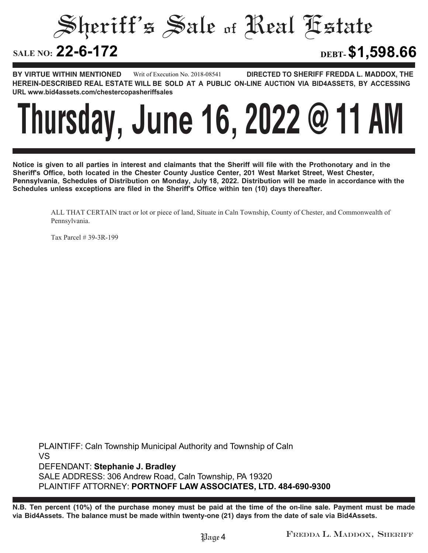Sheriff's Sale of Real Estate

**22-6-172 DEBT-\$1,598.66**

**BY VIRTUE WITHIN MENTIONED DIRECTED TO SHERIFF FREDDA L. MADDOX, THE HEREIN-DESCRIBED REAL ESTATE WILL BE SOLD AT A PUBLIC ON-LINE AUCTION VIA BID4ASSETS, BY ACCESSING URL www.bid4assets.com/chestercopasheriffsales Writ of Execution No. 2018-08541**



**Notice is given to all parties in interest and claimants that the Sheriff will file with the Prothonotary and in the Sheriff's Office, both located in the Chester County Justice Center, 201 West Market Street, West Chester, Pennsylvania, Schedules of Distribution on Monday, July 18, 2022. Distribution will be made in accordance with the Schedules unless exceptions are filed in the Sheriff's Office within ten (10) days thereafter.**

ALL THAT CERTAIN tract or lot or piece of land, Situate in Caln Township, County of Chester, and Commonwealth of Pennsylvania.

Tax Parcel # 39-3R-199

**PLAINTIFF: Caln Township Municipal Authority and Township of Caln VS DEFENDANT: Stephanie J. Bradley SALE ADDRESS: 306 Andrew Road, Caln Township, PA 19320 PLAINTIFF ATTORNEY: PORTNOFF LAW ASSOCIATES, LTD. 484-690-9300**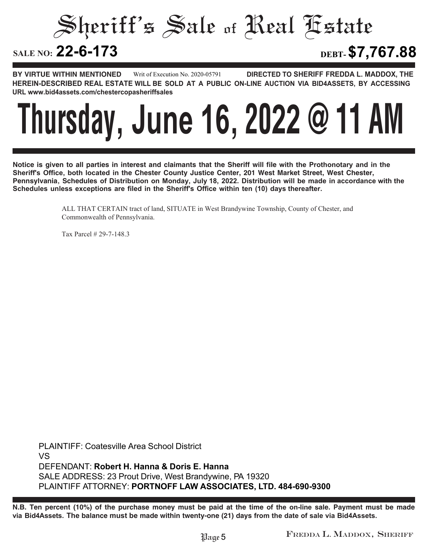Sheriff's Sale of Real Estate

**22-6-173 DEBT-\$7,767.88**

**BY VIRTUE WITHIN MENTIONED DIRECTED TO SHERIFF FREDDA L. MADDOX, THE HEREIN-DESCRIBED REAL ESTATE WILL BE SOLD AT A PUBLIC ON-LINE AUCTION VIA BID4ASSETS, BY ACCESSING URL www.bid4assets.com/chestercopasheriffsales Writ of Execution No. 2020-05791**

### **Thursday, June 16, 2022 @ 11 AM**

**Notice is given to all parties in interest and claimants that the Sheriff will file with the Prothonotary and in the Sheriff's Office, both located in the Chester County Justice Center, 201 West Market Street, West Chester, Pennsylvania, Schedules of Distribution on Monday, July 18, 2022. Distribution will be made in accordance with the Schedules unless exceptions are filed in the Sheriff's Office within ten (10) days thereafter.**

> ALL THAT CERTAIN tract of land, SITUATE in West Brandywine Township, County of Chester, and Commonwealth of Pennsylvania.

Tax Parcel # 29-7-148.3

**PLAINTIFF: Coatesville Area School District VS DEFENDANT: Robert H. Hanna & Doris E. Hanna SALE ADDRESS: 23 Prout Drive, West Brandywine, PA 19320 PLAINTIFF ATTORNEY: PORTNOFF LAW ASSOCIATES, LTD. 484-690-9300**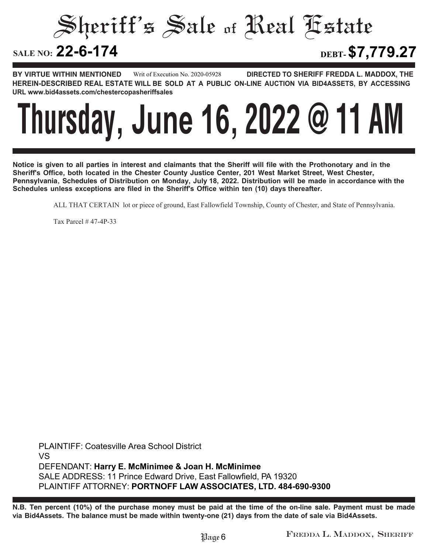Sheriff's Sale of Real Estate **SALE NO: 22-6-174 22-6-174 DEBT-\$7,779.27**

**BY VIRTUE WITHIN MENTIONED DIRECTED TO SHERIFF FREDDA L. MADDOX, THE HEREIN-DESCRIBED REAL ESTATE WILL BE SOLD AT A PUBLIC ON-LINE AUCTION VIA BID4ASSETS, BY ACCESSING URL www.bid4assets.com/chestercopasheriffsales Writ of Execution No. 2020-05928**

### **Thursday, June 16, 2022 @ 11 AM**

**Notice is given to all parties in interest and claimants that the Sheriff will file with the Prothonotary and in the Sheriff's Office, both located in the Chester County Justice Center, 201 West Market Street, West Chester, Pennsylvania, Schedules of Distribution on Monday, July 18, 2022. Distribution will be made in accordance with the Schedules unless exceptions are filed in the Sheriff's Office within ten (10) days thereafter.**

ALL THAT CERTAIN lot or piece of ground, East Fallowfield Township, County of Chester, and State of Pennsylvania.

Tax Parcel # 47-4P-33

**PLAINTIFF: Coatesville Area School District VS DEFENDANT: Harry E. McMinimee & Joan H. McMinimee SALE ADDRESS: 11 Prince Edward Drive, East Fallowfield, PA 19320 PLAINTIFF ATTORNEY: PORTNOFF LAW ASSOCIATES, LTD. 484-690-9300**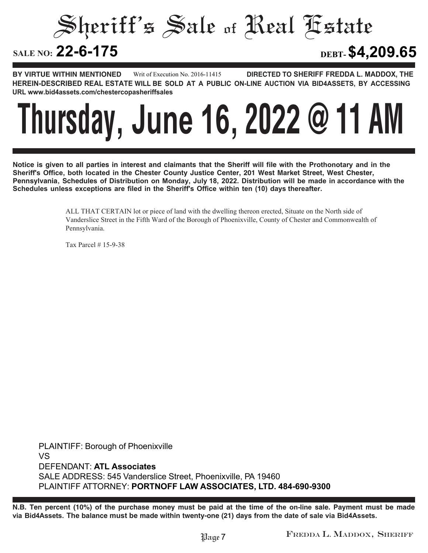Sheriff's Sale of Real Estate

**22-6-175 DEBT-\$4,209.65**

**BY VIRTUE WITHIN MENTIONED DIRECTED TO SHERIFF FREDDA L. MADDOX, THE HEREIN-DESCRIBED REAL ESTATE WILL BE SOLD AT A PUBLIC ON-LINE AUCTION VIA BID4ASSETS, BY ACCESSING URL www.bid4assets.com/chestercopasheriffsales Writ of Execution No. 2016-11415**

### **Thursday, June 16, 2022 @ 11 AM**

**Notice is given to all parties in interest and claimants that the Sheriff will file with the Prothonotary and in the Sheriff's Office, both located in the Chester County Justice Center, 201 West Market Street, West Chester, Pennsylvania, Schedules of Distribution on Monday, July 18, 2022. Distribution will be made in accordance with the Schedules unless exceptions are filed in the Sheriff's Office within ten (10) days thereafter.**

> ALL THAT CERTAIN lot or piece of land with the dwelling thereon erected, Situate on the North side of Vanderslice Street in the Fifth Ward of the Borough of Phoenixville, County of Chester and Commonwealth of Pennsylvania.

Tax Parcel # 15-9-38

**PLAINTIFF: Borough of Phoenixville VS DEFENDANT: ATL Associates SALE ADDRESS: 545 Vanderslice Street, Phoenixville, PA 19460 PLAINTIFF ATTORNEY: PORTNOFF LAW ASSOCIATES, LTD. 484-690-9300**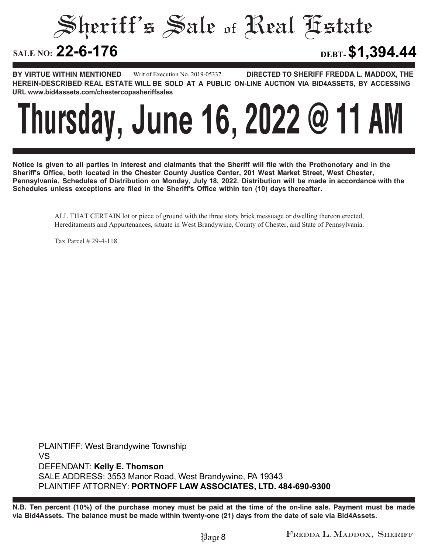Sheriff's Sale of Real Estate

**22-6-176 DEBT-\$1,394.44**

**BY VIRTUE WITHIN MENTIONED DIRECTED TO SHERIFF FREDDA L. MADDOX, THE HEREIN-DESCRIBED REAL ESTATE WILL BE SOLD AT A PUBLIC ON-LINE AUCTION VIA BID4ASSETS, BY ACCESSING URL www.bid4assets.com/chestercopasheriffsales Writ of Execution No. 2019-05337**

### **Thursday, June 16, 2022 @ 11 AM**

**Notice is given to all parties in interest and claimants that the Sheriff will file with the Prothonotary and in the Sheriff's Office, both located in the Chester County Justice Center, 201 West Market Street, West Chester, Pennsylvania, Schedules of Distribution on Monday, July 18, 2022. Distribution will be made in accordance with the Schedules unless exceptions are filed in the Sheriff's Office within ten (10) days thereafter.**

> ALL THAT CERTAIN lot or piece of ground with the three story brick messuage or dwelling thereon erected, Hereditaments and Appurtenances, situate in West Brandywine, County of Chester, and State of Pennsylvania.

Tax Parcel # 29-4-118

**PLAINTIFF: West Brandywine Township VS DEFENDANT: Kelly E. Thomson SALE ADDRESS: 3553 Manor Road, West Brandywine, PA 19343 PLAINTIFF ATTORNEY: PORTNOFF LAW ASSOCIATES, LTD. 484-690-9300**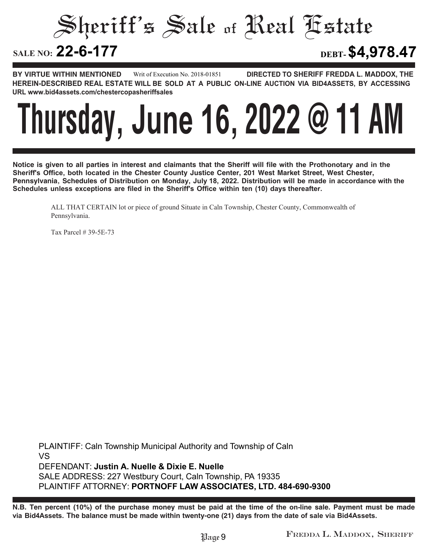Sheriff's Sale of Real Estate SALE NO: 22-6-177 **22-6-177 DEBT-\$4,978.47**

**BY VIRTUE WITHIN MENTIONED DIRECTED TO SHERIFF FREDDA L. MADDOX, THE HEREIN-DESCRIBED REAL ESTATE WILL BE SOLD AT A PUBLIC ON-LINE AUCTION VIA BID4ASSETS, BY ACCESSING URL www.bid4assets.com/chestercopasheriffsales Writ of Execution No. 2018-01851**

### **Thursday, June 16, 2022 @ 11 AM**

**Notice is given to all parties in interest and claimants that the Sheriff will file with the Prothonotary and in the Sheriff's Office, both located in the Chester County Justice Center, 201 West Market Street, West Chester, Pennsylvania, Schedules of Distribution on Monday, July 18, 2022. Distribution will be made in accordance with the Schedules unless exceptions are filed in the Sheriff's Office within ten (10) days thereafter.**

ALL THAT CERTAIN lot or piece of ground Situate in Caln Township, Chester County, Commonwealth of Pennsylvania.

Tax Parcel # 39-5E-73

**PLAINTIFF: Caln Township Municipal Authority and Township of Caln VS DEFENDANT: Justin A. Nuelle & Dixie E. Nuelle SALE ADDRESS: 227 Westbury Court, Caln Township, PA 19335 PLAINTIFF ATTORNEY: PORTNOFF LAW ASSOCIATES, LTD. 484-690-9300**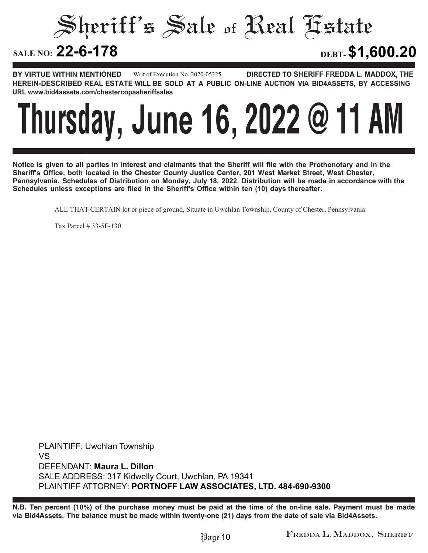Sheriff's Sale of Real Estate

**22-6-178 DEBT-\$1,600.20**

**BY VIRTUE WITHIN MENTIONED DIRECTED TO SHERIFF FREDDA L. MADDOX, THE HEREIN-DESCRIBED REAL ESTATE WILL BE SOLD AT A PUBLIC ON-LINE AUCTION VIA BID4ASSETS, BY ACCESSING URL www.bid4assets.com/chestercopasheriffsales Writ of Execution No. 2020-05325**

### **Thursday, June 16, 2022 @ 11 AM**

**Notice is given to all parties in interest and claimants that the Sheriff will file with the Prothonotary and in the Sheriff's Office, both located in the Chester County Justice Center, 201 West Market Street, West Chester, Pennsylvania, Schedules of Distribution on Monday, July 18, 2022. Distribution will be made in accordance with the Schedules unless exceptions are filed in the Sheriff's Office within ten (10) days thereafter.**

ALL THAT CERTAIN lot or piece of ground, Situate in Uwchlan Township, County of Chester, Pennsylvania.

Tax Parcel # 33-5F-130

**PLAINTIFF: Uwchlan Township VS DEFENDANT: Maura L. Dillon SALE ADDRESS: 317 Kidwelly Court, Uwchlan, PA 19341 PLAINTIFF ATTORNEY: PORTNOFF LAW ASSOCIATES, LTD. 484-690-9300**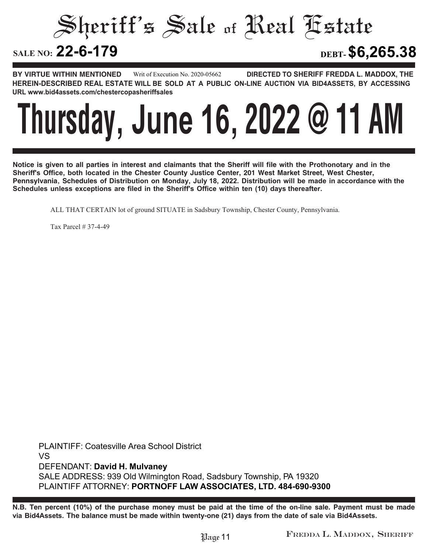Sheriff's Sale of Real Estate

**22-6-179 DEBT-\$6,265.38**

**BY VIRTUE WITHIN MENTIONED DIRECTED TO SHERIFF FREDDA L. MADDOX, THE HEREIN-DESCRIBED REAL ESTATE WILL BE SOLD AT A PUBLIC ON-LINE AUCTION VIA BID4ASSETS, BY ACCESSING URL www.bid4assets.com/chestercopasheriffsales Writ of Execution No. 2020-05662**



**Notice is given to all parties in interest and claimants that the Sheriff will file with the Prothonotary and in the Sheriff's Office, both located in the Chester County Justice Center, 201 West Market Street, West Chester, Pennsylvania, Schedules of Distribution on Monday, July 18, 2022. Distribution will be made in accordance with the Schedules unless exceptions are filed in the Sheriff's Office within ten (10) days thereafter.**

ALL THAT CERTAIN lot of ground SITUATE in Sadsbury Township, Chester County, Pennsylvania.

Tax Parcel # 37-4-49

**PLAINTIFF: Coatesville Area School District VS DEFENDANT: David H. Mulvaney SALE ADDRESS: 939 Old Wilmington Road, Sadsbury Township, PA 19320 PLAINTIFF ATTORNEY: PORTNOFF LAW ASSOCIATES, LTD. 484-690-9300**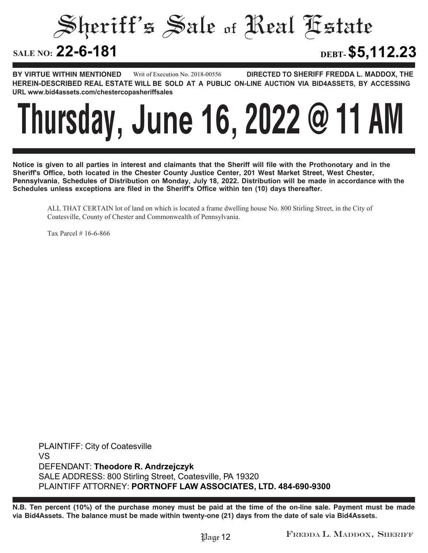Sheriff's Sale of Real Estate

**22-6-181 DEBT-\$5,112.23**

**BY VIRTUE WITHIN MENTIONED DIRECTED TO SHERIFF FREDDA L. MADDOX, THE HEREIN-DESCRIBED REAL ESTATE WILL BE SOLD AT A PUBLIC ON-LINE AUCTION VIA BID4ASSETS, BY ACCESSING URL www.bid4assets.com/chestercopasheriffsales Writ of Execution No. 2018-00556**

### **Thursday, June 16, 2022 @ 11 AM**

**Notice is given to all parties in interest and claimants that the Sheriff will file with the Prothonotary and in the Sheriff's Office, both located in the Chester County Justice Center, 201 West Market Street, West Chester, Pennsylvania, Schedules of Distribution on Monday, July 18, 2022. Distribution will be made in accordance with the Schedules unless exceptions are filed in the Sheriff's Office within ten (10) days thereafter.**

ALL THAT CERTAIN lot of land on which is located a frame dwelling house No. 800 Stirling Street, in the City of Coatesville, County of Chester and Commonwealth of Pennsylvania.

Tax Parcel # 16-6-866

**PLAINTIFF: City of Coatesville VS DEFENDANT: Theodore R. Andrzejczyk SALE ADDRESS: 800 Stirling Street, Coatesville, PA 19320 PLAINTIFF ATTORNEY: PORTNOFF LAW ASSOCIATES, LTD. 484-690-9300**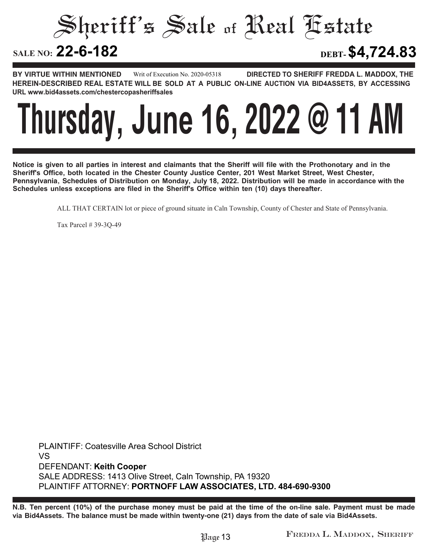Sheriff's Sale of Real Estate

**22-6-182 DEBT-\$4,724.83**

**BY VIRTUE WITHIN MENTIONED DIRECTED TO SHERIFF FREDDA L. MADDOX, THE HEREIN-DESCRIBED REAL ESTATE WILL BE SOLD AT A PUBLIC ON-LINE AUCTION VIA BID4ASSETS, BY ACCESSING URL www.bid4assets.com/chestercopasheriffsales Writ of Execution No. 2020-05318**

### **Thursday, June 16, 2022 @ 11 AM**

**Notice is given to all parties in interest and claimants that the Sheriff will file with the Prothonotary and in the Sheriff's Office, both located in the Chester County Justice Center, 201 West Market Street, West Chester, Pennsylvania, Schedules of Distribution on Monday, July 18, 2022. Distribution will be made in accordance with the Schedules unless exceptions are filed in the Sheriff's Office within ten (10) days thereafter.**

ALL THAT CERTAIN lot or piece of ground situate in Caln Township, County of Chester and State of Pennsylvania.

Tax Parcel # 39-3Q-49

**PLAINTIFF: Coatesville Area School District VS DEFENDANT: Keith Cooper SALE ADDRESS: 1413 Olive Street, Caln Township, PA 19320 PLAINTIFF ATTORNEY: PORTNOFF LAW ASSOCIATES, LTD. 484-690-9300**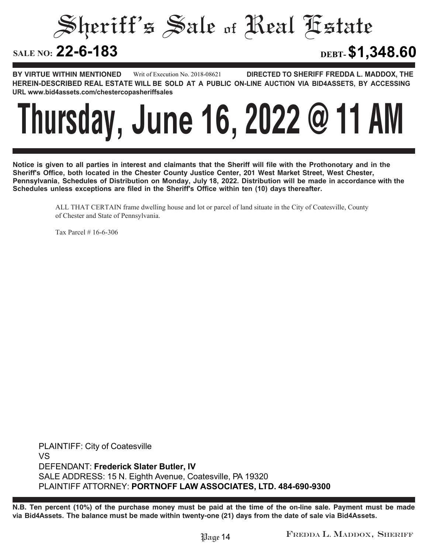Sheriff's Sale of Real Estate

**22-6-183 DEBT-\$1,348.60**

**BY VIRTUE WITHIN MENTIONED DIRECTED TO SHERIFF FREDDA L. MADDOX, THE HEREIN-DESCRIBED REAL ESTATE WILL BE SOLD AT A PUBLIC ON-LINE AUCTION VIA BID4ASSETS, BY ACCESSING URL www.bid4assets.com/chestercopasheriffsales Writ of Execution No. 2018-08621**

### **Thursday, June 16, 2022 @ 11 AM**

**Notice is given to all parties in interest and claimants that the Sheriff will file with the Prothonotary and in the Sheriff's Office, both located in the Chester County Justice Center, 201 West Market Street, West Chester, Pennsylvania, Schedules of Distribution on Monday, July 18, 2022. Distribution will be made in accordance with the Schedules unless exceptions are filed in the Sheriff's Office within ten (10) days thereafter.**

> ALL THAT CERTAIN frame dwelling house and lot or parcel of land situate in the City of Coatesville, County of Chester and State of Pennsylvania.

Tax Parcel # 16-6-306

**PLAINTIFF: City of Coatesville VS DEFENDANT: Frederick Slater Butler, IV SALE ADDRESS: 15 N. Eighth Avenue, Coatesville, PA 19320 PLAINTIFF ATTORNEY: PORTNOFF LAW ASSOCIATES, LTD. 484-690-9300**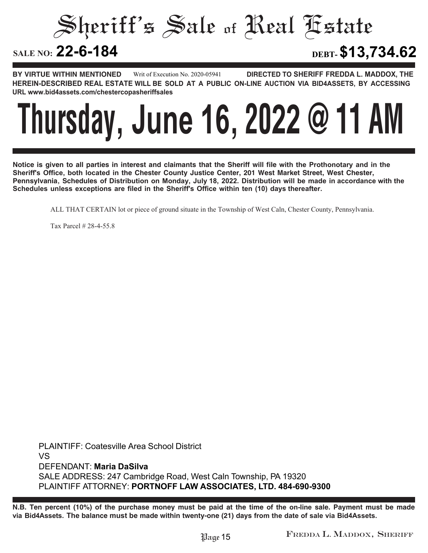Sheriff's Sale of Real Estate

**22-6-184 DEBT-\$13,734.62**

**BY VIRTUE WITHIN MENTIONED DIRECTED TO SHERIFF FREDDA L. MADDOX, THE HEREIN-DESCRIBED REAL ESTATE WILL BE SOLD AT A PUBLIC ON-LINE AUCTION VIA BID4ASSETS, BY ACCESSING URL www.bid4assets.com/chestercopasheriffsales Writ of Execution No. 2020-05941**

# **Thursday, June 16, 2022 @ 11 AM**

**Notice is given to all parties in interest and claimants that the Sheriff will file with the Prothonotary and in the Sheriff's Office, both located in the Chester County Justice Center, 201 West Market Street, West Chester, Pennsylvania, Schedules of Distribution on Monday, July 18, 2022. Distribution will be made in accordance with the Schedules unless exceptions are filed in the Sheriff's Office within ten (10) days thereafter.**

ALL THAT CERTAIN lot or piece of ground situate in the Township of West Caln, Chester County, Pennsylvania.

Tax Parcel # 28-4-55.8

**PLAINTIFF: Coatesville Area School District VS DEFENDANT: Maria DaSilva SALE ADDRESS: 247 Cambridge Road, West Caln Township, PA 19320 PLAINTIFF ATTORNEY: PORTNOFF LAW ASSOCIATES, LTD. 484-690-9300**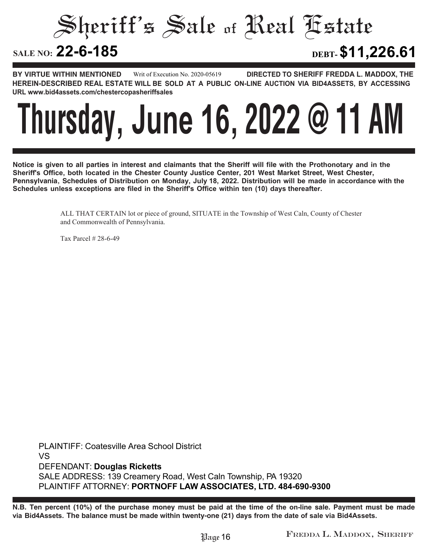Sheriff's Sale of Real Estate

**22-6-185 DEBT-\$11,226.61**

**BY VIRTUE WITHIN MENTIONED DIRECTED TO SHERIFF FREDDA L. MADDOX, THE HEREIN-DESCRIBED REAL ESTATE WILL BE SOLD AT A PUBLIC ON-LINE AUCTION VIA BID4ASSETS, BY ACCESSING URL www.bid4assets.com/chestercopasheriffsales Writ of Execution No. 2020-05619**

### **Thursday, June 16, 2022 @ 11 AM**

**Notice is given to all parties in interest and claimants that the Sheriff will file with the Prothonotary and in the Sheriff's Office, both located in the Chester County Justice Center, 201 West Market Street, West Chester, Pennsylvania, Schedules of Distribution on Monday, July 18, 2022. Distribution will be made in accordance with the Schedules unless exceptions are filed in the Sheriff's Office within ten (10) days thereafter.**

> ALL THAT CERTAIN lot or piece of ground, SITUATE in the Township of West Caln, County of Chester and Commonwealth of Pennsylvania.

Tax Parcel # 28-6-49

**PLAINTIFF: Coatesville Area School District VS DEFENDANT: Douglas Ricketts SALE ADDRESS: 139 Creamery Road, West Caln Township, PA 19320 PLAINTIFF ATTORNEY: PORTNOFF LAW ASSOCIATES, LTD. 484-690-9300**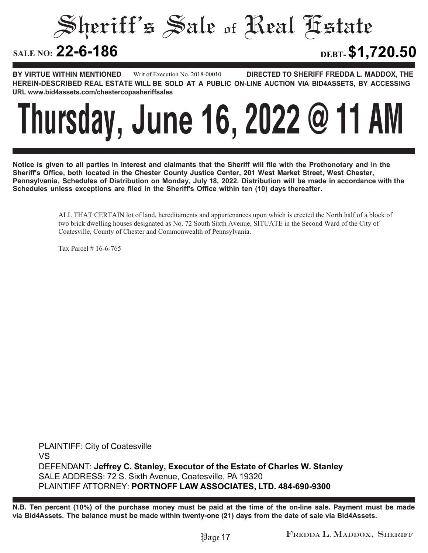Sheriff's Sale of Real Estate

**22-6-186 DEBT-\$1,720.50**

**BY VIRTUE WITHIN MENTIONED DIRECTED TO SHERIFF FREDDA L. MADDOX, THE HEREIN-DESCRIBED REAL ESTATE WILL BE SOLD AT A PUBLIC ON-LINE AUCTION VIA BID4ASSETS, BY ACCESSING URL www.bid4assets.com/chestercopasheriffsales Writ of Execution No. 2018-00010**

### **Thursday, June 16, 2022 @ 11 AM**

**Notice is given to all parties in interest and claimants that the Sheriff will file with the Prothonotary and in the Sheriff's Office, both located in the Chester County Justice Center, 201 West Market Street, West Chester, Pennsylvania, Schedules of Distribution on Monday, July 18, 2022. Distribution will be made in accordance with the Schedules unless exceptions are filed in the Sheriff's Office within ten (10) days thereafter.**

> ALL THAT CERTAIN lot of land, hereditaments and appurtenances upon which is erected the North half of a block of two brick dwelling houses designated as No. 72 South Sixth Avenue, SITUATE in the Second Ward of the City of Coatesville, County of Chester and Commonwealth of Pennsylvania.

Tax Parcel # 16-6-765

**PLAINTIFF: City of Coatesville VS DEFENDANT: Jeffrey C. Stanley, Executor of the Estate of Charles W. Stanley SALE ADDRESS: 72 S. Sixth Avenue, Coatesville, PA 19320 PLAINTIFF ATTORNEY: PORTNOFF LAW ASSOCIATES, LTD. 484-690-9300**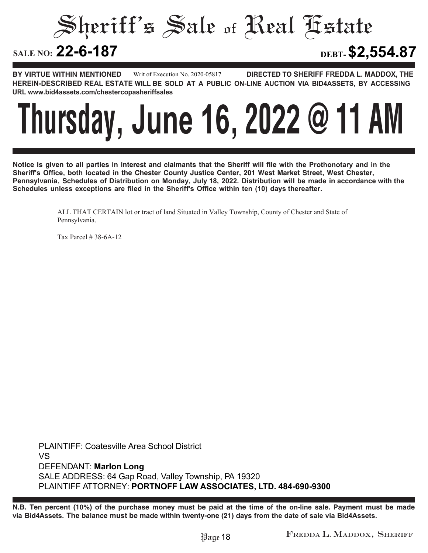Sheriff's Sale of Real Estate

**22-6-187 DEBT-\$2,554.87**

**BY VIRTUE WITHIN MENTIONED DIRECTED TO SHERIFF FREDDA L. MADDOX, THE HEREIN-DESCRIBED REAL ESTATE WILL BE SOLD AT A PUBLIC ON-LINE AUCTION VIA BID4ASSETS, BY ACCESSING URL www.bid4assets.com/chestercopasheriffsales Writ of Execution No. 2020-05817**



**Notice is given to all parties in interest and claimants that the Sheriff will file with the Prothonotary and in the Sheriff's Office, both located in the Chester County Justice Center, 201 West Market Street, West Chester, Pennsylvania, Schedules of Distribution on Monday, July 18, 2022. Distribution will be made in accordance with the Schedules unless exceptions are filed in the Sheriff's Office within ten (10) days thereafter.**

> ALL THAT CERTAIN lot or tract of land Situated in Valley Township, County of Chester and State of Pennsylvania.

Tax Parcel # 38-6A-12

**PLAINTIFF: Coatesville Area School District VS DEFENDANT: Marlon Long SALE ADDRESS: 64 Gap Road, Valley Township, PA 19320 PLAINTIFF ATTORNEY: PORTNOFF LAW ASSOCIATES, LTD. 484-690-9300**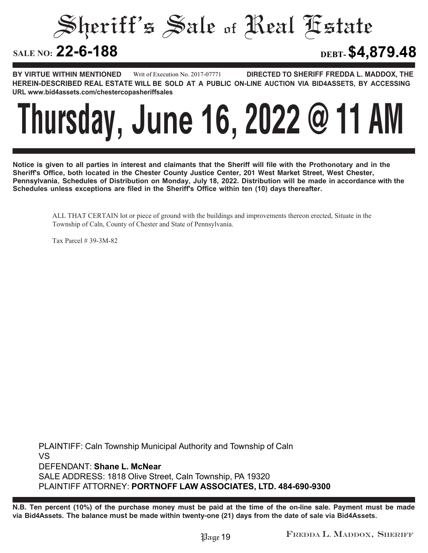Sheriff's Sale of Real Estate

**22-6-188 DEBT-\$4,879.48**

**BY VIRTUE WITHIN MENTIONED DIRECTED TO SHERIFF FREDDA L. MADDOX, THE HEREIN-DESCRIBED REAL ESTATE WILL BE SOLD AT A PUBLIC ON-LINE AUCTION VIA BID4ASSETS, BY ACCESSING URL www.bid4assets.com/chestercopasheriffsales Writ of Execution No. 2017-07771**

### **Thursday, June 16, 2022 @ 11 AM**

**Notice is given to all parties in interest and claimants that the Sheriff will file with the Prothonotary and in the Sheriff's Office, both located in the Chester County Justice Center, 201 West Market Street, West Chester, Pennsylvania, Schedules of Distribution on Monday, July 18, 2022. Distribution will be made in accordance with the Schedules unless exceptions are filed in the Sheriff's Office within ten (10) days thereafter.**

ALL THAT CERTAIN lot or piece of ground with the buildings and improvements thereon erected, Situate in the Township of Caln, County of Chester and State of Pennsylvania.

Tax Parcel # 39-3M-82

**PLAINTIFF: Caln Township Municipal Authority and Township of Caln VS DEFENDANT: Shane L. McNear SALE ADDRESS: 1818 Olive Street, Caln Township, PA 19320 PLAINTIFF ATTORNEY: PORTNOFF LAW ASSOCIATES, LTD. 484-690-9300**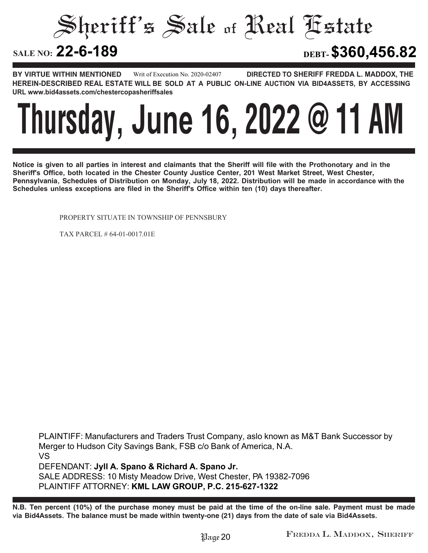Sheriff's Sale of Real Estate

**22-6-189 DEBT-\$360,456.82**

**BY VIRTUE WITHIN MENTIONED DIRECTED TO SHERIFF FREDDA L. MADDOX, THE HEREIN-DESCRIBED REAL ESTATE WILL BE SOLD AT A PUBLIC ON-LINE AUCTION VIA BID4ASSETS, BY ACCESSING URL www.bid4assets.com/chestercopasheriffsales Writ of Execution No. 2020-02407**

### **Thursday, June 16, 2022 @ 11 AM**

**Notice is given to all parties in interest and claimants that the Sheriff will file with the Prothonotary and in the Sheriff's Office, both located in the Chester County Justice Center, 201 West Market Street, West Chester, Pennsylvania, Schedules of Distribution on Monday, July 18, 2022. Distribution will be made in accordance with the Schedules unless exceptions are filed in the Sheriff's Office within ten (10) days thereafter.**

PROPERTY SITUATE IN TOWNSHIP OF PENNSBURY

TAX PARCEL # 64-01-0017.01E

**PLAINTIFF: Manufacturers and Traders Trust Company, aslo known as M&T Bank Successor by Merger to Hudson City Savings Bank, FSB c/o Bank of America, N.A. VS DEFENDANT: Jyll A. Spano & Richard A. Spano Jr. SALE ADDRESS: 10 Misty Meadow Drive, West Chester, PA 19382-7096 PLAINTIFF ATTORNEY: KML LAW GROUP, P.C. 215-627-1322**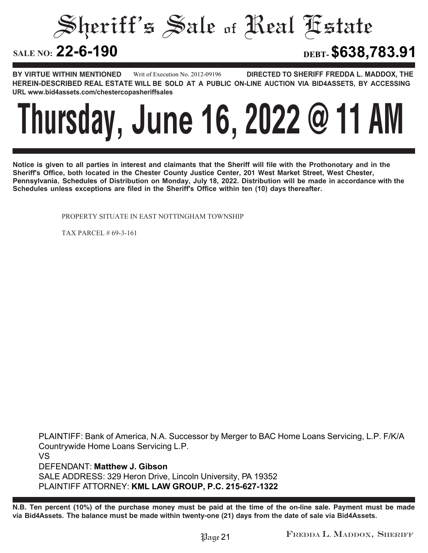Sheriff's Sale of Real Estate

**22-6-190 DEBT-\$638,783.91**

**BY VIRTUE WITHIN MENTIONED DIRECTED TO SHERIFF FREDDA L. MADDOX, THE HEREIN-DESCRIBED REAL ESTATE WILL BE SOLD AT A PUBLIC ON-LINE AUCTION VIA BID4ASSETS, BY ACCESSING URL www.bid4assets.com/chestercopasheriffsales Writ of Execution No. 2012-09196**

### **Thursday, June 16, 2022 @ 11 AM**

**Notice is given to all parties in interest and claimants that the Sheriff will file with the Prothonotary and in the Sheriff's Office, both located in the Chester County Justice Center, 201 West Market Street, West Chester, Pennsylvania, Schedules of Distribution on Monday, July 18, 2022. Distribution will be made in accordance with the Schedules unless exceptions are filed in the Sheriff's Office within ten (10) days thereafter.**

PROPERTY SITUATE IN EAST NOTTINGHAM TOWNSHIP

TAX PARCEL # 69-3-161

**PLAINTIFF: Bank of America, N.A. Successor by Merger to BAC Home Loans Servicing, L.P. F/K/A Countrywide Home Loans Servicing L.P. VS DEFENDANT: Matthew J. Gibson SALE ADDRESS: 329 Heron Drive, Lincoln University, PA 19352 PLAINTIFF ATTORNEY: KML LAW GROUP, P.C. 215-627-1322**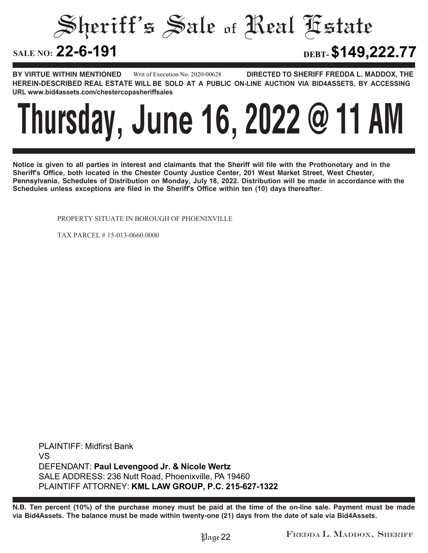Sheriff's Sale of Real Estate

**22-6-191 DEBT-\$149,222.77**

**BY VIRTUE WITHIN MENTIONED DIRECTED TO SHERIFF FREDDA L. MADDOX, THE HEREIN-DESCRIBED REAL ESTATE WILL BE SOLD AT A PUBLIC ON-LINE AUCTION VIA BID4ASSETS, BY ACCESSING URL www.bid4assets.com/chestercopasheriffsales Writ of Execution No. 2020-00628**

### **Thursday, June 16, 2022 @ 11 AM**

**Notice is given to all parties in interest and claimants that the Sheriff will file with the Prothonotary and in the Sheriff's Office, both located in the Chester County Justice Center, 201 West Market Street, West Chester, Pennsylvania, Schedules of Distribution on Monday, July 18, 2022. Distribution will be made in accordance with the Schedules unless exceptions are filed in the Sheriff's Office within ten (10) days thereafter.**

PROPERTY SITUATE IN BOROUGH OF PHOENIXVILLE

TAX PARCEL # 15-013-0660.0000

**PLAINTIFF: Midfirst Bank VS DEFENDANT: Paul Levengood Jr. & Nicole Wertz SALE ADDRESS: 236 Nutt Road, Phoenixville, PA 19460 PLAINTIFF ATTORNEY: KML LAW GROUP, P.C. 215-627-1322**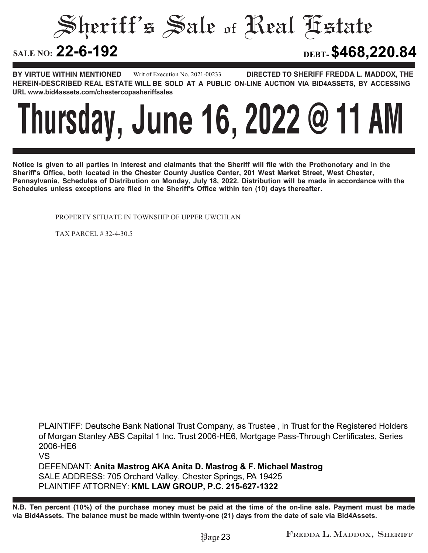Sheriff's Sale of Real Estate

**22-6-192 DEBT-\$468,220.84**

**BY VIRTUE WITHIN MENTIONED DIRECTED TO SHERIFF FREDDA L. MADDOX, THE HEREIN-DESCRIBED REAL ESTATE WILL BE SOLD AT A PUBLIC ON-LINE AUCTION VIA BID4ASSETS, BY ACCESSING URL www.bid4assets.com/chestercopasheriffsales Writ of Execution No. 2021-00233**

### **Thursday, June 16, 2022 @ 11 AM**

**Notice is given to all parties in interest and claimants that the Sheriff will file with the Prothonotary and in the Sheriff's Office, both located in the Chester County Justice Center, 201 West Market Street, West Chester, Pennsylvania, Schedules of Distribution on Monday, July 18, 2022. Distribution will be made in accordance with the Schedules unless exceptions are filed in the Sheriff's Office within ten (10) days thereafter.**

PROPERTY SITUATE IN TOWNSHIP OF UPPER UWCHLAN

TAX PARCEL # 32-4-30.5

**VS**

**PLAINTIFF: Deutsche Bank National Trust Company, as Trustee , in Trust for the Registered Holders of Morgan Stanley ABS Capital 1 Inc. Trust 2006-HE6, Mortgage Pass-Through Certificates, Series 2006-HE6**

**DEFENDANT: Anita Mastrog AKA Anita D. Mastrog & F. Michael Mastrog SALE ADDRESS: 705 Orchard Valley, Chester Springs, PA 19425 PLAINTIFF ATTORNEY: KML LAW GROUP, P.C. 215-627-1322**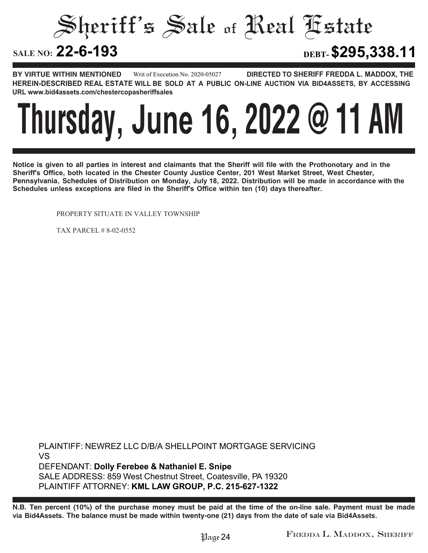Sheriff's Sale of Real Estate

**22-6-193 DEBT-\$295,338.11**

**BY VIRTUE WITHIN MENTIONED DIRECTED TO SHERIFF FREDDA L. MADDOX, THE HEREIN-DESCRIBED REAL ESTATE WILL BE SOLD AT A PUBLIC ON-LINE AUCTION VIA BID4ASSETS, BY ACCESSING URL www.bid4assets.com/chestercopasheriffsales Writ of Execution No. 2020-05027**

### **Thursday, June 16, 2022 @ 11 AM**

**Notice is given to all parties in interest and claimants that the Sheriff will file with the Prothonotary and in the Sheriff's Office, both located in the Chester County Justice Center, 201 West Market Street, West Chester, Pennsylvania, Schedules of Distribution on Monday, July 18, 2022. Distribution will be made in accordance with the Schedules unless exceptions are filed in the Sheriff's Office within ten (10) days thereafter.**

PROPERTY SITUATE IN VALLEY TOWNSHIP

TAX PARCEL # 8-02-0552

**PLAINTIFF: NEWREZ LLC D/B/A SHELLPOINT MORTGAGE SERVICING VS DEFENDANT: Dolly Ferebee & Nathaniel E. Snipe SALE ADDRESS: 859 West Chestnut Street, Coatesville, PA 19320 PLAINTIFF ATTORNEY: KML LAW GROUP, P.C. 215-627-1322**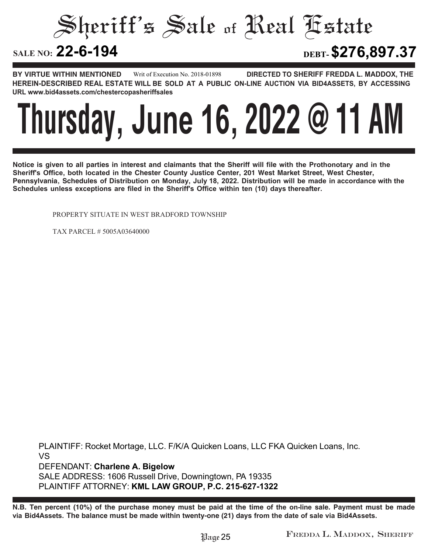Sheriff's Sale of Real Estate

**22-6-194 DEBT-\$276,897.37**

**BY VIRTUE WITHIN MENTIONED DIRECTED TO SHERIFF FREDDA L. MADDOX, THE HEREIN-DESCRIBED REAL ESTATE WILL BE SOLD AT A PUBLIC ON-LINE AUCTION VIA BID4ASSETS, BY ACCESSING URL www.bid4assets.com/chestercopasheriffsales Writ of Execution No. 2018-01898**

### **Thursday, June 16, 2022 @ 11 AM**

**Notice is given to all parties in interest and claimants that the Sheriff will file with the Prothonotary and in the Sheriff's Office, both located in the Chester County Justice Center, 201 West Market Street, West Chester, Pennsylvania, Schedules of Distribution on Monday, July 18, 2022. Distribution will be made in accordance with the Schedules unless exceptions are filed in the Sheriff's Office within ten (10) days thereafter.**

PROPERTY SITUATE IN WEST BRADFORD TOWNSHIP

TAX PARCEL # 5005A03640000

**PLAINTIFF: Rocket Mortage, LLC. F/K/A Quicken Loans, LLC FKA Quicken Loans, Inc. VS DEFENDANT: Charlene A. Bigelow SALE ADDRESS: 1606 Russell Drive, Downingtown, PA 19335 PLAINTIFF ATTORNEY: KML LAW GROUP, P.C. 215-627-1322**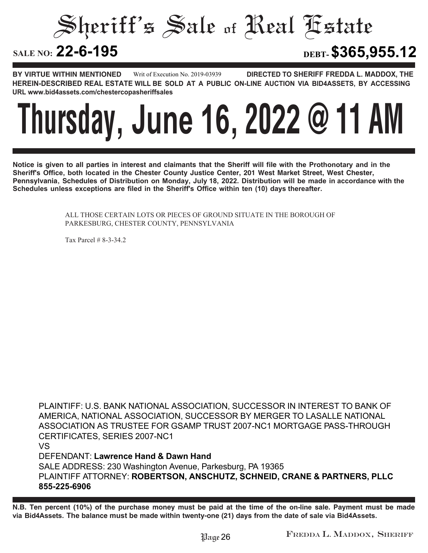Sheriff's Sale of Real Estate

**22-6-195 DEBT-\$365,955.12**

**BY VIRTUE WITHIN MENTIONED DIRECTED TO SHERIFF FREDDA L. MADDOX, THE HEREIN-DESCRIBED REAL ESTATE WILL BE SOLD AT A PUBLIC ON-LINE AUCTION VIA BID4ASSETS, BY ACCESSING URL www.bid4assets.com/chestercopasheriffsales Writ of Execution No. 2019-03939**

### **Thursday, June 16, 2022 @ 11 AM**

**Notice is given to all parties in interest and claimants that the Sheriff will file with the Prothonotary and in the Sheriff's Office, both located in the Chester County Justice Center, 201 West Market Street, West Chester, Pennsylvania, Schedules of Distribution on Monday, July 18, 2022. Distribution will be made in accordance with the Schedules unless exceptions are filed in the Sheriff's Office within ten (10) days thereafter.**

> ALL THOSE CERTAIN LOTS OR PIECES OF GROUND SITUATE IN THE BOROUGH OF PARKESBURG, CHESTER COUNTY, PENNSYLVANIA

Tax Parcel # 8-3-34.2

**PLAINTIFF: U.S. BANK NATIONAL ASSOCIATION, SUCCESSOR IN INTEREST TO BANK OF AMERICA, NATIONAL ASSOCIATION, SUCCESSOR BY MERGER TO LASALLE NATIONAL ASSOCIATION AS TRUSTEE FOR GSAMP TRUST 2007-NC1 MORTGAGE PASS-THROUGH CERTIFICATES, SERIES 2007-NC1 VS DEFENDANT: Lawrence Hand & Dawn Hand SALE ADDRESS: 230 Washington Avenue, Parkesburg, PA 19365 PLAINTIFF ATTORNEY: ROBERTSON, ANSCHUTZ, SCHNEID, CRANE & PARTNERS, PLLC**

**855-225-6906**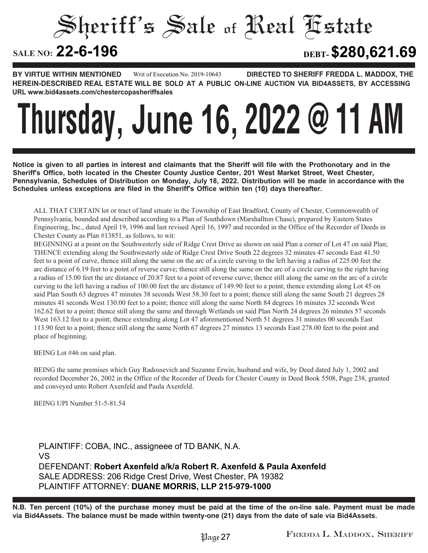Sheriff's Sale of Real Estate

**22-6-196 DEBT-\$280,621.69**

**BY VIRTUE WITHIN MENTIONED DIRECTED TO SHERIFF FREDDA L. MADDOX, THE HEREIN-DESCRIBED REAL ESTATE WILL BE SOLD AT A PUBLIC ON-LINE AUCTION VIA BID4ASSETS, BY ACCESSING URL www.bid4assets.com/chestercopasheriffsales Writ of Execution No. 2019-10643**

# **Thursday, June 16, 2022 @ 11 AM**

**Notice is given to all parties in interest and claimants that the Sheriff will file with the Prothonotary and in the Sheriff's Office, both located in the Chester County Justice Center, 201 West Market Street, West Chester, Pennsylvania, Schedules of Distribution on Monday, July 18, 2022. Distribution will be made in accordance with the Schedules unless exceptions are filed in the Sheriff's Office within ten (10) days thereafter.**

ALL THAT CERTAIN lot or tract of land situate in the Township of East Bradford, County of Chester, Commonwealth of Pennsylvania, bounded and described according to a Plan of Southdown (Marshallton Chase), prepared by Eastern States Engineering, Inc., dated April 19, 1996 and last revised April 16, 1997 and recorded in the Office of the Recorder of Deeds in Chester County as Plan #13851, as follows, to wit:

BEGINNING at a point on the Southwesterly side of Ridge Crest Drive as shown on said Plan a corner of Lot 47 on said Plan; THENCE extending along the Southwesterly side of Ridge Crest Drive South 22 degrees 32 minutes 47 seconds East 41.50 feet to a point of curve, thence still along the same on the arc of a circle curving to the left having a radius of 225.00 feet the arc distance of 6.19 feet to a point of reverse curve; thence still along the same on the arc of a circle curving to the right having a radius of 15.00 feet the arc distance of 20.87 feet to a point of reverse curve; thence still along the same on the arc of a circle curving to the left having a radius of 100.00 feet the arc distance of 149.90 feet to a point; thence extending along Lot 45 on said Plan South 63 degrees 47 minutes 38 seconds West 58.30 feet to a point; thence still along the same South 21 degrees 28 minutes 41 seconds West 130.00 feet to a point; thence still along the same North 84 degrees 16 minutes 32 seconds West 162.62 feet to a point; thence still along the same and through Wetlands on said Plan North 24 degrees 26 minutes 57 seconds West 163.12 feet to a point; thence extending along Lot 47 aforementioned North 51 degrees 31 minutes 00 seconds East 113.90 feet to a point; thence still along the same North 67 degrees 27 minutes 13 seconds East 278.00 feet to the point and place of beginning.

BEING Lot #46 on said plan.

BEING the same premises which Guy Radossevich and Suzanne Erwin, husband and wife, by Deed dated July 1, 2002 and recorded December 26, 2002 in the Office of the Recorder of Deeds for Chester County in Deed Book 5508, Page 238, granted and conveyed unto Robert Axenfeld and Paula Axenfeld.

BEING UPI Number 51-5-81.54

**PLAINTIFF: COBA, INC., assigneee of TD BANK, N.A. VS DEFENDANT: Robert Axenfeld a/k/a Robert R. Axenfeld & Paula Axenfeld SALE ADDRESS: 206 Ridge Crest Drive, West Chester, PA 19382 PLAINTIFF ATTORNEY: DUANE MORRIS, LLP 215-979-1000**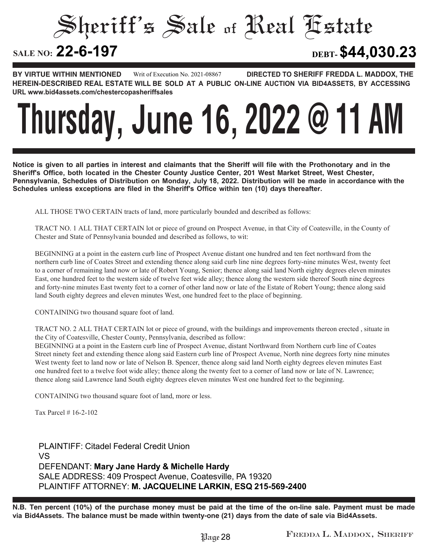Sheriff's Sale of Real Estate

**22-6-197 DEBT-\$44,030.23**

**BY VIRTUE WITHIN MENTIONED DIRECTED TO SHERIFF FREDDA L. MADDOX, THE HEREIN-DESCRIBED REAL ESTATE WILL BE SOLD AT A PUBLIC ON-LINE AUCTION VIA BID4ASSETS, BY ACCESSING URL www.bid4assets.com/chestercopasheriffsales Writ of Execution No. 2021-08867**

### **Thursday, June 16, 2022 @ 11 AM**

**Notice is given to all parties in interest and claimants that the Sheriff will file with the Prothonotary and in the Sheriff's Office, both located in the Chester County Justice Center, 201 West Market Street, West Chester, Pennsylvania, Schedules of Distribution on Monday, July 18, 2022. Distribution will be made in accordance with the Schedules unless exceptions are filed in the Sheriff's Office within ten (10) days thereafter.**

ALL THOSE TWO CERTAIN tracts of land, more particularly bounded and described as follows:

TRACT NO. 1 ALL THAT CERTAIN lot or piece of ground on Prospect Avenue, in that City of Coatesville, in the County of Chester and State of Pennsylvania bounded and described as follows, to wit:

BEGINNING at a point in the eastern curb line of Prospect Avenue distant one hundred and ten feet northward from the northern curb line of Coates Street and extending thence along said curb line nine degrees forty-nine minutes West, twenty feet to a corner of remaining land now or late of Robert Young, Senior; thence along said land North eighty degrees eleven minutes East, one hundred feet to the western side of twelve feet wide alley; thence along the western side thereof South nine degrees and forty-nine minutes East twenty feet to a corner of other land now or late of the Estate of Robert Young; thence along said land South eighty degrees and eleven minutes West, one hundred feet to the place of beginning.

CONTAINING two thousand square foot of land.

TRACT NO. 2 ALL THAT CERTAIN lot or piece of ground, with the buildings and improvements thereon erected , situate in the City of Coatesville, Chester County, Pennsylvania, described as follow:

BEGINNING at a point in the Eastern curb line of Prospect Avenue, distant Northward from Northern curb line of Coates Street ninety feet and extending thence along said Eastern curb line of Prospect Avenue, North nine degrees forty nine minutes West twenty feet to land now or late of Nelson B. Spencer, thence along said land North eighty degrees eleven minutes East one hundred feet to a twelve foot wide alley; thence along the twenty feet to a corner of land now or late of N. Lawrence; thence along said Lawrence land South eighty degrees eleven minutes West one hundred feet to the beginning.

CONTAINING two thousand square foot of land, more or less.

Tax Parcel # 16-2-102

**PLAINTIFF: Citadel Federal Credit Union VS DEFENDANT: Mary Jane Hardy & Michelle Hardy SALE ADDRESS: 409 Prospect Avenue, Coatesville, PA 19320 PLAINTIFF ATTORNEY: M. JACQUELINE LARKIN, ESQ 215-569-2400**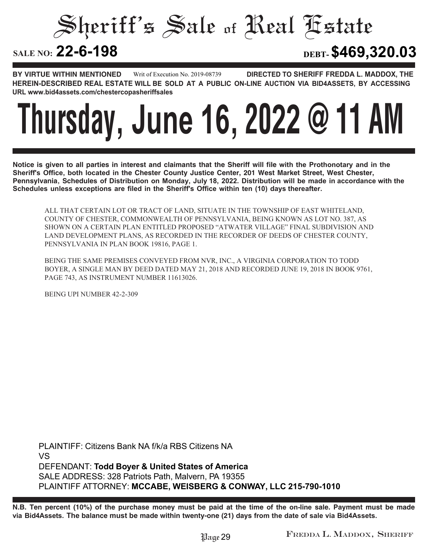Sheriff's Sale of Real Estate

**22-6-198 DEBT-\$469,320.03**

**BY VIRTUE WITHIN MENTIONED DIRECTED TO SHERIFF FREDDA L. MADDOX, THE HEREIN-DESCRIBED REAL ESTATE WILL BE SOLD AT A PUBLIC ON-LINE AUCTION VIA BID4ASSETS, BY ACCESSING URL www.bid4assets.com/chestercopasheriffsales Writ of Execution No. 2019-08739**

### **Thursday, June 16, 2022 @ 11 AM**

**Notice is given to all parties in interest and claimants that the Sheriff will file with the Prothonotary and in the Sheriff's Office, both located in the Chester County Justice Center, 201 West Market Street, West Chester, Pennsylvania, Schedules of Distribution on Monday, July 18, 2022. Distribution will be made in accordance with the Schedules unless exceptions are filed in the Sheriff's Office within ten (10) days thereafter.**

ALL THAT CERTAIN LOT OR TRACT OF LAND, SITUATE IN THE TOWNSHIP OF EAST WHITELAND, COUNTY OF CHESTER, COMMONWEALTH OF PENNSYLVANIA, BEING KNOWN AS LOT NO. 387, AS SHOWN ON A CERTAIN PLAN ENTITLED PROPOSED "ATWATER VILLAGE" FINAL SUBDIVISION AND LAND DEVELOPMENT PLANS, AS RECORDED IN THE RECORDER OF DEEDS OF CHESTER COUNTY, PENNSYLVANIA IN PLAN BOOK 19816, PAGE 1.

BEING THE SAME PREMISES CONVEYED FROM NVR, INC., A VIRGINIA CORPORATION TO TODD BOYER, A SINGLE MAN BY DEED DATED MAY 21, 2018 AND RECORDED JUNE 19, 2018 IN BOOK 9761, PAGE 743, AS INSTRUMENT NUMBER 11613026.

BEING UPI NUMBER 42-2-309

**PLAINTIFF: Citizens Bank NA f/k/a RBS Citizens NA VS DEFENDANT: Todd Boyer & United States of America SALE ADDRESS: 328 Patriots Path, Malvern, PA 19355 PLAINTIFF ATTORNEY: MCCABE, WEISBERG & CONWAY, LLC 215-790-1010**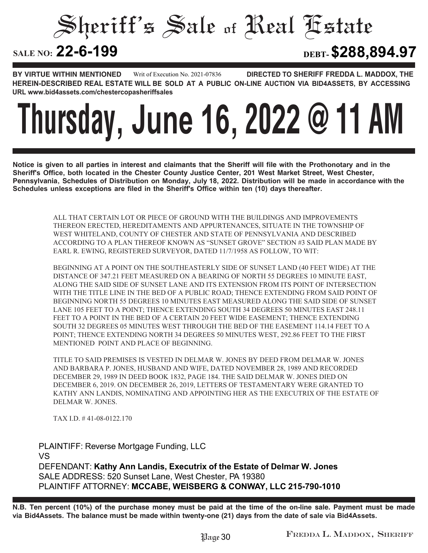Sheriff's Sale of Real Estate

**22-6-199 DEBT-\$288,894.97**

**BY VIRTUE WITHIN MENTIONED DIRECTED TO SHERIFF FREDDA L. MADDOX, THE HEREIN-DESCRIBED REAL ESTATE WILL BE SOLD AT A PUBLIC ON-LINE AUCTION VIA BID4ASSETS, BY ACCESSING URL www.bid4assets.com/chestercopasheriffsales Writ of Execution No. 2021-07836**

### **Thursday, June 16, 2022 @ 11 AM**

**Notice is given to all parties in interest and claimants that the Sheriff will file with the Prothonotary and in the Sheriff's Office, both located in the Chester County Justice Center, 201 West Market Street, West Chester, Pennsylvania, Schedules of Distribution on Monday, July 18, 2022. Distribution will be made in accordance with the Schedules unless exceptions are filed in the Sheriff's Office within ten (10) days thereafter.**

> ALL THAT CERTAIN LOT OR PIECE OF GROUND WITH THE BUILDINGS AND IMPROVEMENTS THEREON ERECTED, HEREDITAMENTS AND APPURTENANCES, SITUATE IN THE TOWNSHIP OF WEST WHITELAND, COUNTY OF CHESTER AND STATE OF PENNSYLVANIA AND DESCRIBED ACCORDING TO A PLAN THEREOF KNOWN AS "SUNSET GROVE" SECTION #3 SAID PLAN MADE BY EARL R. EWING, REGISTERED SURVEYOR, DATED 11/7/1958 AS FOLLOW, TO WIT:

> BEGINNING AT A POINT ON THE SOUTHEASTERLY SIDE OF SUNSET LAND (40 FEET WIDE) AT THE DISTANCE OF 347.21 FEET MEASURED ON A BEARING OF NORTH 55 DEGREES 10 MINUTE EAST, ALONG THE SAID SIDE OF SUNSET LANE AND ITS EXTENSION FROM ITS POINT OF INTERSECTION WITH THE TITLE LINE IN THE BED OF A PUBLIC ROAD; THENCE EXTENDING FROM SAID POINT OF BEGINNING NORTH 55 DEGREES 10 MINUTES EAST MEASURED ALONG THE SAID SIDE OF SUNSET LANE 105 FEET TO A POINT; THENCE EXTENDING SOUTH 34 DEGREES 50 MINUTES EAST 248.11 FEET TO A POINT IN THE BED OF A CERTAIN 20 FEET WIDE EASEMENT; THENCE EXTENDING SOUTH 32 DEGREES 05 MINUTES WEST THROUGH THE BED OF THE EASEMENT 114.14 FEET TO A POINT; THENCE EXTENDING NORTH 34 DEGREES 50 MINUTES WEST, 292.86 FEET TO THE FIRST MENTIONED POINT AND PLACE OF BEGINNING.

> TITLE TO SAID PREMISES IS VESTED IN DELMAR W. JONES BY DEED FROM DELMAR W. JONES AND BARBARA P. JONES, HUSBAND AND WIFE, DATED NOVEMBER 28, 1989 AND RECORDED DECEMBER 29, 1989 IN DEED BOOK 1832, PAGE 184. THE SAID DELMAR W. JONES DIED ON DECEMBER 6, 2019. ON DECEMBER 26, 2019, LETTERS OF TESTAMENTARY WERE GRANTED TO KATHY ANN LANDIS, NOMINATING AND APPOINTING HER AS THE EXECUTRIX OF THE ESTATE OF DELMAR W. JONES.

TAX I.D. # 41-08-0122.170

**PLAINTIFF: Reverse Mortgage Funding, LLC VS DEFENDANT: Kathy Ann Landis, Executrix of the Estate of Delmar W. Jones SALE ADDRESS: 520 Sunset Lane, West Chester, PA 19380 PLAINTIFF ATTORNEY: MCCABE, WEISBERG & CONWAY, LLC 215-790-1010**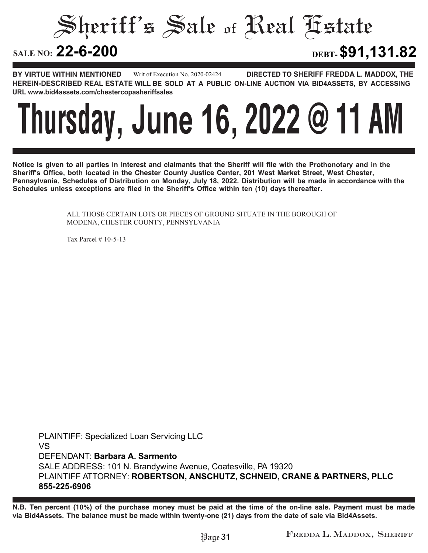Sheriff's Sale of Real Estate

**22-6-200 DEBT-\$91,131.82**

**BY VIRTUE WITHIN MENTIONED DIRECTED TO SHERIFF FREDDA L. MADDOX, THE HEREIN-DESCRIBED REAL ESTATE WILL BE SOLD AT A PUBLIC ON-LINE AUCTION VIA BID4ASSETS, BY ACCESSING URL www.bid4assets.com/chestercopasheriffsales Writ of Execution No. 2020-02424**

### **Thursday, June 16, 2022 @ 11 AM**

**Notice is given to all parties in interest and claimants that the Sheriff will file with the Prothonotary and in the Sheriff's Office, both located in the Chester County Justice Center, 201 West Market Street, West Chester, Pennsylvania, Schedules of Distribution on Monday, July 18, 2022. Distribution will be made in accordance with the Schedules unless exceptions are filed in the Sheriff's Office within ten (10) days thereafter.**

> ALL THOSE CERTAIN LOTS OR PIECES OF GROUND SITUATE IN THE BOROUGH OF MODENA, CHESTER COUNTY, PENNSYLVANIA

Tax Parcel # 10-5-13

**PLAINTIFF: Specialized Loan Servicing LLC VS DEFENDANT: Barbara A. Sarmento SALE ADDRESS: 101 N. Brandywine Avenue, Coatesville, PA 19320 PLAINTIFF ATTORNEY: ROBERTSON, ANSCHUTZ, SCHNEID, CRANE & PARTNERS, PLLC 855-225-6906**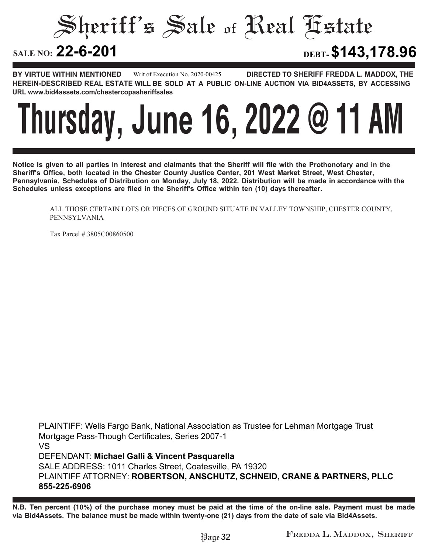Sheriff's Sale of Real Estate

**22-6-201 DEBT-\$143,178.96**

**BY VIRTUE WITHIN MENTIONED DIRECTED TO SHERIFF FREDDA L. MADDOX, THE HEREIN-DESCRIBED REAL ESTATE WILL BE SOLD AT A PUBLIC ON-LINE AUCTION VIA BID4ASSETS, BY ACCESSING URL www.bid4assets.com/chestercopasheriffsales Writ of Execution No. 2020-00425**

### **Thursday, June 16, 2022 @ 11 AM**

**Notice is given to all parties in interest and claimants that the Sheriff will file with the Prothonotary and in the Sheriff's Office, both located in the Chester County Justice Center, 201 West Market Street, West Chester, Pennsylvania, Schedules of Distribution on Monday, July 18, 2022. Distribution will be made in accordance with the Schedules unless exceptions are filed in the Sheriff's Office within ten (10) days thereafter.**

ALL THOSE CERTAIN LOTS OR PIECES OF GROUND SITUATE IN VALLEY TOWNSHIP, CHESTER COUNTY, PENNSYLVANIA

Tax Parcel # 3805C00860500

**PLAINTIFF: Wells Fargo Bank, National Association as Trustee for Lehman Mortgage Trust Mortgage Pass-Though Certificates, Series 2007-1 VS DEFENDANT: Michael Galli & Vincent Pasquarella SALE ADDRESS: 1011 Charles Street, Coatesville, PA 19320 PLAINTIFF ATTORNEY: ROBERTSON, ANSCHUTZ, SCHNEID, CRANE & PARTNERS, PLLC 855-225-6906**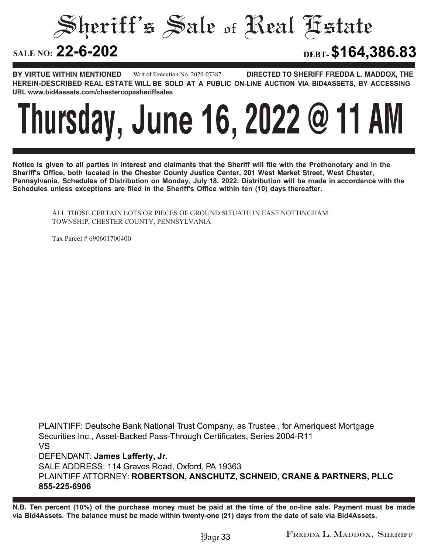Sheriff's Sale of Real Estate

**22-6-202 DEBT-\$164,386.83**

**BY VIRTUE WITHIN MENTIONED DIRECTED TO SHERIFF FREDDA L. MADDOX, THE HEREIN-DESCRIBED REAL ESTATE WILL BE SOLD AT A PUBLIC ON-LINE AUCTION VIA BID4ASSETS, BY ACCESSING URL www.bid4assets.com/chestercopasheriffsales Writ of Execution No. 2020-07387**

### **Thursday, June 16, 2022 @ 11 AM**

**Notice is given to all parties in interest and claimants that the Sheriff will file with the Prothonotary and in the Sheriff's Office, both located in the Chester County Justice Center, 201 West Market Street, West Chester, Pennsylvania, Schedules of Distribution on Monday, July 18, 2022. Distribution will be made in accordance with the Schedules unless exceptions are filed in the Sheriff's Office within ten (10) days thereafter.**

ALL THOSE CERTAIN LOTS OR PIECES OF GROUND SITUATE IN EAST NOTTINGHAM TOWNSHIP, CHESTER COUNTY, PENNSYLVANIA

Tax Parcel # 690601700400

**PLAINTIFF: Deutsche Bank National Trust Company, as Trustee , for Ameriquest Mortgage Securities Inc., Asset-Backed Pass-Through Certificates, Series 2004-R11 VS DEFENDANT: James Lafferty, Jr. SALE ADDRESS: 114 Graves Road, Oxford, PA 19363 PLAINTIFF ATTORNEY: ROBERTSON, ANSCHUTZ, SCHNEID, CRANE & PARTNERS, PLLC 855-225-6906**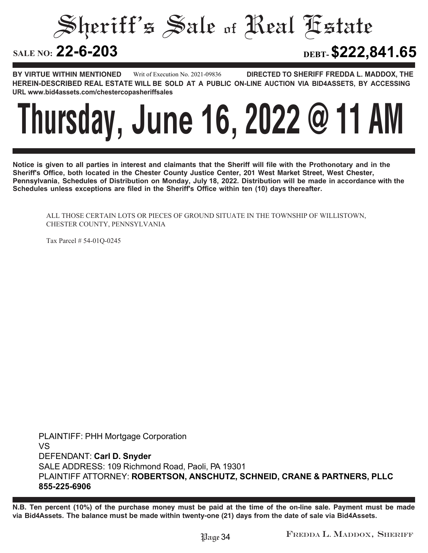Sheriff's Sale of Real Estate

**22-6-203 DEBT-\$222,841.65**

**BY VIRTUE WITHIN MENTIONED DIRECTED TO SHERIFF FREDDA L. MADDOX, THE HEREIN-DESCRIBED REAL ESTATE WILL BE SOLD AT A PUBLIC ON-LINE AUCTION VIA BID4ASSETS, BY ACCESSING URL www.bid4assets.com/chestercopasheriffsales Writ of Execution No. 2021-09836**

### **Thursday, June 16, 2022 @ 11 AM**

**Notice is given to all parties in interest and claimants that the Sheriff will file with the Prothonotary and in the Sheriff's Office, both located in the Chester County Justice Center, 201 West Market Street, West Chester, Pennsylvania, Schedules of Distribution on Monday, July 18, 2022. Distribution will be made in accordance with the Schedules unless exceptions are filed in the Sheriff's Office within ten (10) days thereafter.**

ALL THOSE CERTAIN LOTS OR PIECES OF GROUND SITUATE IN THE TOWNSHIP OF WILLISTOWN, CHESTER COUNTY, PENNSYLVANIA

Tax Parcel # 54-01Q-0245

**PLAINTIFF: PHH Mortgage Corporation VS DEFENDANT: Carl D. Snyder SALE ADDRESS: 109 Richmond Road, Paoli, PA 19301 PLAINTIFF ATTORNEY: ROBERTSON, ANSCHUTZ, SCHNEID, CRANE & PARTNERS, PLLC 855-225-6906**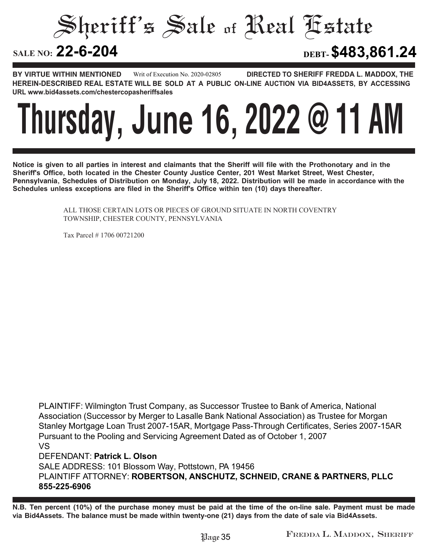Sheriff's Sale of Real Estate

**22-6-204 DEBT-\$483,861.24**

**BY VIRTUE WITHIN MENTIONED DIRECTED TO SHERIFF FREDDA L. MADDOX, THE HEREIN-DESCRIBED REAL ESTATE WILL BE SOLD AT A PUBLIC ON-LINE AUCTION VIA BID4ASSETS, BY ACCESSING URL www.bid4assets.com/chestercopasheriffsales Writ of Execution No. 2020-02805**

### **Thursday, June 16, 2022 @ 11 AM**

**Notice is given to all parties in interest and claimants that the Sheriff will file with the Prothonotary and in the Sheriff's Office, both located in the Chester County Justice Center, 201 West Market Street, West Chester, Pennsylvania, Schedules of Distribution on Monday, July 18, 2022. Distribution will be made in accordance with the Schedules unless exceptions are filed in the Sheriff's Office within ten (10) days thereafter.**

> ALL THOSE CERTAIN LOTS OR PIECES OF GROUND SITUATE IN NORTH COVENTRY TOWNSHIP, CHESTER COUNTY, PENNSYLVANIA

Tax Parcel # 1706 00721200

**PLAINTIFF: Wilmington Trust Company, as Successor Trustee to Bank of America, National Association (Successor by Merger to Lasalle Bank National Association) as Trustee for Morgan Stanley Mortgage Loan Trust 2007-15AR, Mortgage Pass-Through Certificates, Series 2007-15AR Pursuant to the Pooling and Servicing Agreement Dated as of October 1, 2007 VS**

**DEFENDANT: Patrick L. Olson**

**SALE ADDRESS: 101 Blossom Way, Pottstown, PA 19456 PLAINTIFF ATTORNEY: ROBERTSON, ANSCHUTZ, SCHNEID, CRANE & PARTNERS, PLLC 855-225-6906**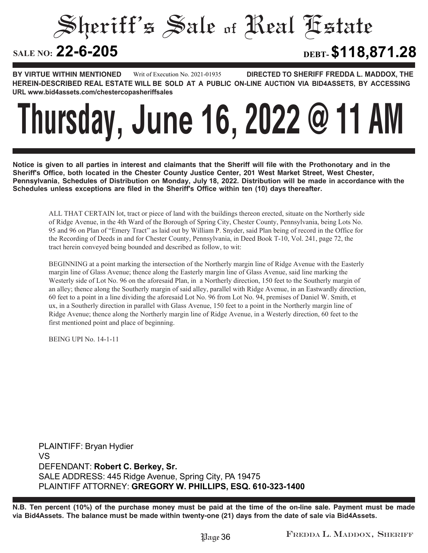Sheriff's Sale of Real Estate

**22-6-205 DEBT-\$118,871.28**

**BY VIRTUE WITHIN MENTIONED DIRECTED TO SHERIFF FREDDA L. MADDOX, THE HEREIN-DESCRIBED REAL ESTATE WILL BE SOLD AT A PUBLIC ON-LINE AUCTION VIA BID4ASSETS, BY ACCESSING URL www.bid4assets.com/chestercopasheriffsales Writ of Execution No. 2021-01935**

### **Thursday, June 16, 2022 @ 11 AM**

**Notice is given to all parties in interest and claimants that the Sheriff will file with the Prothonotary and in the Sheriff's Office, both located in the Chester County Justice Center, 201 West Market Street, West Chester, Pennsylvania, Schedules of Distribution on Monday, July 18, 2022. Distribution will be made in accordance with the Schedules unless exceptions are filed in the Sheriff's Office within ten (10) days thereafter.**

ALL THAT CERTAIN lot, tract or piece of land with the buildings thereon erected, situate on the Northerly side of Ridge Avenue, in the 4th Ward of the Borough of Spring City, Chester County, Pennsylvania, being Lots No. 95 and 96 on Plan of "Emery Tract" as laid out by William P. Snyder, said Plan being of record in the Office for the Recording of Deeds in and for Chester County, Pennsylvania, in Deed Book T-10, Vol. 241, page 72, the tract herein conveyed being bounded and described as follow, to wit:

BEGINNING at a point marking the intersection of the Northerly margin line of Ridge Avenue with the Easterly margin line of Glass Avenue; thence along the Easterly margin line of Glass Avenue, said line marking the Westerly side of Lot No. 96 on the aforesaid Plan, in a Northerly direction, 150 feet to the Southerly margin of an alley; thence along the Southerly margin of said alley, parallel with Ridge Avenue, in an Eastwardly direction, 60 feet to a point in a line dividing the aforesaid Lot No. 96 from Lot No. 94, premises of Daniel W. Smith, et ux, in a Southerly direction in parallel with Glass Avenue, 150 feet to a point in the Northerly margin line of Ridge Avenue; thence along the Northerly margin line of Ridge Avenue, in a Westerly direction, 60 feet to the first mentioned point and place of beginning.

BEING UPI No. 14-1-11

**PLAINTIFF: Bryan Hydier VS DEFENDANT: Robert C. Berkey, Sr. SALE ADDRESS: 445 Ridge Avenue, Spring City, PA 19475 PLAINTIFF ATTORNEY: GREGORY W. PHILLIPS, ESQ. 610-323-1400**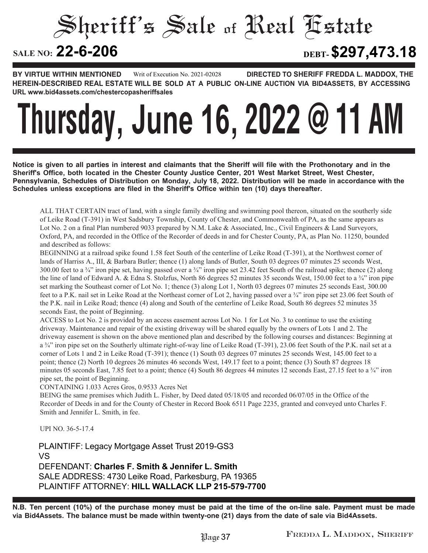Sheriff's Sale of Real Estate

**22-6-206 DEBT-\$297,473.18**

**BY VIRTUE WITHIN MENTIONED DIRECTED TO SHERIFF FREDDA L. MADDOX, THE HEREIN-DESCRIBED REAL ESTATE WILL BE SOLD AT A PUBLIC ON-LINE AUCTION VIA BID4ASSETS, BY ACCESSING URL www.bid4assets.com/chestercopasheriffsales Writ of Execution No. 2021-02028**

# **Thursday, June 16, 2022 @ 11 AM**

**Notice is given to all parties in interest and claimants that the Sheriff will file with the Prothonotary and in the Sheriff's Office, both located in the Chester County Justice Center, 201 West Market Street, West Chester, Pennsylvania, Schedules of Distribution on Monday, July 18, 2022. Distribution will be made in accordance with the Schedules unless exceptions are filed in the Sheriff's Office within ten (10) days thereafter.**

ALL THAT CERTAIN tract of land, with a single family dwelling and swimming pool thereon, situated on the southerly side of Leike Road (T-391) in West Sadsbury Township, County of Chester, and Commonwealth of PA, as the same appears as Lot No. 2 on a final Plan numbered 9033 prepared by N.M. Lake & Associated, Inc., Civil Engineers & Land Surveyors, Oxford, PA, and recorded in the Office of the Recorder of deeds in and for Chester County, PA, as Plan No. 11250, bounded and described as follows:

BEGINNING at a railroad spike found 1.58 feet South of the centerline of Leike Road (T-391), at the Northwest corner of lands of Harriss A., III, & Barbara Butler; thence (1) along lands of Butler, South 03 degrees 07 minutes 25 seconds West, 300.00 feet to a  $\frac{3}{4}$  iron pipe set, having passed over a  $\frac{3}{4}$  iron pipe set 23.42 feet South of the railroad spike; thence (2) along the line of land of Edward A. & Edna S. Stolzfus, North 86 degrees 52 minutes 35 seconds West, 150.00 feet to a ¾" iron pipe set marking the Southeast corner of Lot No. 1; thence (3) along Lot 1, North 03 degrees 07 minutes 25 seconds East, 300.00 feet to a P.K. nail set in Leike Road at the Northeast corner of Lot 2, having passed over a ¾" iron pipe set 23.06 feet South of the P.K. nail in Leike Road; thence (4) along and South of the centerline of Leike Road, South 86 degrees 52 minutes 35 seconds East, the point of Beginning.

ACCESS to Lot No. 2 is provided by an access easement across Lot No. 1 for Lot No. 3 to continue to use the existing driveway. Maintenance and repair of the existing driveway will be shared equally by the owners of Lots 1 and 2. The driveway easement is shown on the above mentioned plan and described by the following courses and distances: Beginning at a ¾" iron pipe set on the Southerly ultimate right-of-way line of Leike Road (T-391), 23.06 feet South of the P.K. nail set at a corner of Lots 1 and 2 in Leike Road (T-391); thence (1) South 03 degrees 07 minutes 25 seconds West, 145.00 feet to a point; thence (2) North 10 degrees 26 minutes 46 seconds West, 149.17 feet to a point; thence (3) South 87 degrees 18 minutes 05 seconds East, 7.85 feet to a point; thence (4) South 86 degrees 44 minutes 12 seconds East, 27.15 feet to a  $\frac{3}{4}$ " iron pipe set, the point of Beginning.

CONTAINING 1.033 Acres Gros, 0.9533 Acres Net

BEING the same premises which Judith L. Fisher, by Deed dated 05/18/05 and recorded 06/07/05 in the Office of the Recorder of Deeds in and for the County of Chester in Record Book 6511 Page 2235, granted and conveyed unto Charles F. Smith and Jennifer L. Smith, in fee.

UPI NO. 36-5-17.4

**PLAINTIFF: Legacy Mortgage Asset Trust 2019-GS3 VS DEFENDANT: Charles F. Smith & Jennifer L. Smith SALE ADDRESS: 4730 Leike Road, Parkesburg, PA 19365 PLAINTIFF ATTORNEY: HILL WALLACK LLP 215-579-7700**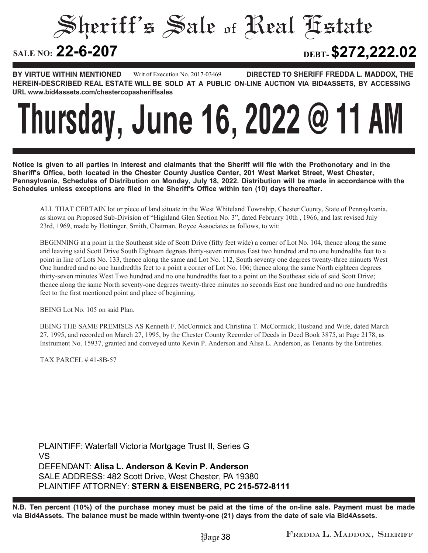#### Sheriff's Sale of Real Estate SALE NO: 22-6-207 **22-6-207 DEBT-\$272,222.02**

**BY VIRTUE WITHIN MENTIONED DIRECTED TO SHERIFF FREDDA L. MADDOX, THE HEREIN-DESCRIBED REAL ESTATE WILL BE SOLD AT A PUBLIC ON-LINE AUCTION VIA BID4ASSETS, BY ACCESSING URL www.bid4assets.com/chestercopasheriffsales Writ of Execution No. 2017-03469**

### **Thursday, June 16, 2022 @ 11 AM**

**Notice is given to all parties in interest and claimants that the Sheriff will file with the Prothonotary and in the Sheriff's Office, both located in the Chester County Justice Center, 201 West Market Street, West Chester, Pennsylvania, Schedules of Distribution on Monday, July 18, 2022. Distribution will be made in accordance with the Schedules unless exceptions are filed in the Sheriff's Office within ten (10) days thereafter.**

ALL THAT CERTAIN lot or piece of land situate in the West Whiteland Township, Chester County, State of Pennsylvania, as shown on Proposed Sub-Division of "Highland Glen Section No. 3", dated February 10th , 1966, and last revised July 23rd, 1969, made by Hottinger, Smith, Chatman, Royce Associates as follows, to wit:

BEGINNING at a point in the Southeast side of Scott Drive (fifty feet wide) a corner of Lot No. 104, thence along the same and leaving said Scott Drive South Eighteen degrees thirty-seven minutes East two hundred and no one hundredths feet to a point in line of Lots No. 133, thence along the same and Lot No. 112, South seventy one degrees twenty-three minuets West One hundred and no one hundredths feet to a point a corner of Lot No. 106; thence along the same North eighteen degrees thirty-seven minutes West Two hundred and no one hundredths feet to a point on the Southeast side of said Scott Drive; thence along the same North seventy-one degrees twenty-three minutes no seconds East one hundred and no one hundredths feet to the first mentioned point and place of beginning.

BEING Lot No. 105 on said Plan.

BEING THE SAME PREMISES AS Kenneth F. McCormick and Christina T. McCormick, Husband and Wife, dated March 27, 1995, and recorded on March 27, 1995, by the Chester County Recorder of Deeds in Deed Book 3875, at Page 2178, as Instrument No. 15937, granted and conveyed unto Kevin P. Anderson and Alisa L. Anderson, as Tenants by the Entireties.

TAX PARCEL # 41-8B-57

**PLAINTIFF: Waterfall Victoria Mortgage Trust II, Series G VS DEFENDANT: Alisa L. Anderson & Kevin P. Anderson SALE ADDRESS: 482 Scott Drive, West Chester, PA 19380 PLAINTIFF ATTORNEY: STERN & EISENBERG, PC 215-572-8111**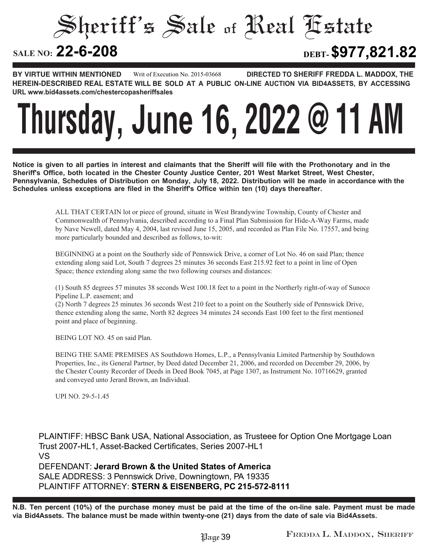Sheriff's Sale of Real Estate

**22-6-208 DEBT-\$977,821.82**

**BY VIRTUE WITHIN MENTIONED DIRECTED TO SHERIFF FREDDA L. MADDOX, THE HEREIN-DESCRIBED REAL ESTATE WILL BE SOLD AT A PUBLIC ON-LINE AUCTION VIA BID4ASSETS, BY ACCESSING URL www.bid4assets.com/chestercopasheriffsales Writ of Execution No. 2015-03668**

### **Thursday, June 16, 2022 @ 11 AM**

**Notice is given to all parties in interest and claimants that the Sheriff will file with the Prothonotary and in the Sheriff's Office, both located in the Chester County Justice Center, 201 West Market Street, West Chester, Pennsylvania, Schedules of Distribution on Monday, July 18, 2022. Distribution will be made in accordance with the Schedules unless exceptions are filed in the Sheriff's Office within ten (10) days thereafter.**

> ALL THAT CERTAIN lot or piece of ground, situate in West Brandywine Township, County of Chester and Commonwealth of Pennsylvania, described according to a Final Plan Submission for Hide-A-Way Farms, made by Nave Newell, dated May 4, 2004, last revised June 15, 2005, and recorded as Plan File No. 17557, and being more particularly bounded and described as follows, to-wit:

BEGINNING at a point on the Southerly side of Pennswick Drive, a corner of Lot No. 46 on said Plan; thence extending along said Lot, South 7 degrees 25 minutes 36 seconds East 215.92 feet to a point in line of Open Space; thence extending along same the two following courses and distances:

(1) South 85 degrees 57 minutes 38 seconds West 100.18 feet to a point in the Northerly right-of-way of Sunoco Pipeline L.P. easement; and

(2) North 7 degrees 25 minutes 36 seconds West 210 feet to a point on the Southerly side of Pennswick Drive, thence extending along the same, North 82 degrees 34 minutes 24 seconds East 100 feet to the first mentioned point and place of beginning.

BEING LOT NO. 45 on said Plan.

BEING THE SAME PREMISES AS Southdown Homes, L.P., a Pennsylvania Limited Partnership by Southdown Properties, Inc., its General Partner, by Deed dated December 21, 2006, and recorded on December 29, 2006, by the Chester County Recorder of Deeds in Deed Book 7045, at Page 1307, as Instrument No. 10716629, granted and conveyed unto Jerard Brown, an Individual.

UPI NO. 29-5-1.45

**PLAINTIFF: HBSC Bank USA, National Association, as Trusteee for Option One Mortgage Loan Trust 2007-HL1, Asset-Backed Certificates, Series 2007-HL1 VS DEFENDANT: Jerard Brown & the United States of America SALE ADDRESS: 3 Pennswick Drive, Downingtown, PA 19335 PLAINTIFF ATTORNEY: STERN & EISENBERG, PC 215-572-8111**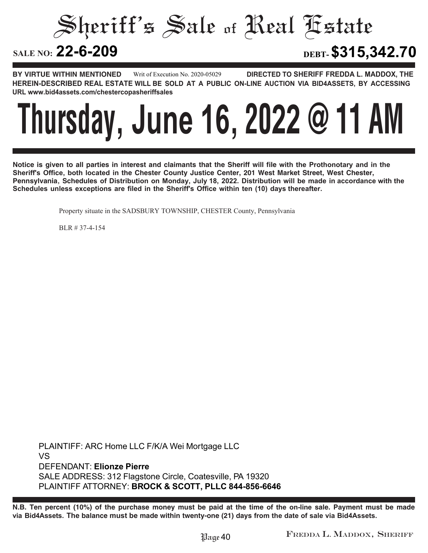Sheriff's Sale of Real Estate

**22-6-209 DEBT-\$315,342.70**

**BY VIRTUE WITHIN MENTIONED DIRECTED TO SHERIFF FREDDA L. MADDOX, THE HEREIN-DESCRIBED REAL ESTATE WILL BE SOLD AT A PUBLIC ON-LINE AUCTION VIA BID4ASSETS, BY ACCESSING URL www.bid4assets.com/chestercopasheriffsales Writ of Execution No. 2020-05029**

### **Thursday, June 16, 2022 @ 11 AM**

**Notice is given to all parties in interest and claimants that the Sheriff will file with the Prothonotary and in the Sheriff's Office, both located in the Chester County Justice Center, 201 West Market Street, West Chester, Pennsylvania, Schedules of Distribution on Monday, July 18, 2022. Distribution will be made in accordance with the Schedules unless exceptions are filed in the Sheriff's Office within ten (10) days thereafter.**

Property situate in the SADSBURY TOWNSHIP, CHESTER County, Pennsylvania

BLR # 37-4-154

**PLAINTIFF: ARC Home LLC F/K/A Wei Mortgage LLC VS DEFENDANT: Elionze Pierre SALE ADDRESS: 312 Flagstone Circle, Coatesville, PA 19320 PLAINTIFF ATTORNEY: BROCK & SCOTT, PLLC 844-856-6646**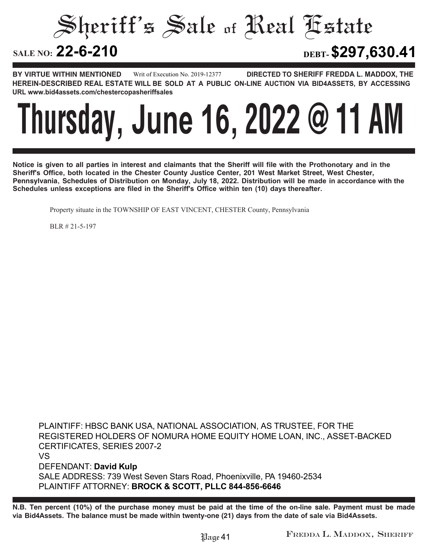Sheriff's Sale of Real Estate **SALE NO: 22-6-210 22-6-210 DEBT-\$297,630.41**

**BY VIRTUE WITHIN MENTIONED DIRECTED TO SHERIFF FREDDA L. MADDOX, THE HEREIN-DESCRIBED REAL ESTATE WILL BE SOLD AT A PUBLIC ON-LINE AUCTION VIA BID4ASSETS, BY ACCESSING URL www.bid4assets.com/chestercopasheriffsales Writ of Execution No. 2019-12377**

### **Thursday, June 16, 2022 @ 11 AM**

**Notice is given to all parties in interest and claimants that the Sheriff will file with the Prothonotary and in the Sheriff's Office, both located in the Chester County Justice Center, 201 West Market Street, West Chester, Pennsylvania, Schedules of Distribution on Monday, July 18, 2022. Distribution will be made in accordance with the Schedules unless exceptions are filed in the Sheriff's Office within ten (10) days thereafter.**

Property situate in the TOWNSHIP OF EAST VINCENT, CHESTER County, Pennsylvania

BLR # 21-5-197

**PLAINTIFF: HBSC BANK USA, NATIONAL ASSOCIATION, AS TRUSTEE, FOR THE REGISTERED HOLDERS OF NOMURA HOME EQUITY HOME LOAN, INC., ASSET-BACKED CERTIFICATES, SERIES 2007-2 VS DEFENDANT: David Kulp SALE ADDRESS: 739 West Seven Stars Road, Phoenixville, PA 19460-2534 PLAINTIFF ATTORNEY: BROCK & SCOTT, PLLC 844-856-6646**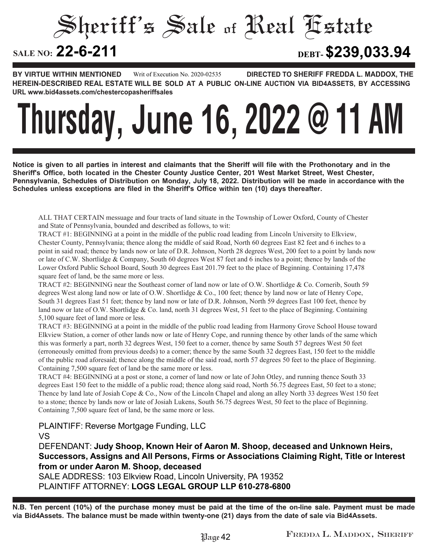#### Sheriff's Sale of Real Estate SALE NO: 22-6-211 **22-6-211 DEBT-\$239,033.94**

**BY VIRTUE WITHIN MENTIONED DIRECTED TO SHERIFF FREDDA L. MADDOX, THE HEREIN-DESCRIBED REAL ESTATE WILL BE SOLD AT A PUBLIC ON-LINE AUCTION VIA BID4ASSETS, BY ACCESSING URL www.bid4assets.com/chestercopasheriffsales Writ of Execution No. 2020-02535**

### **Thursday, June 16, 2022 @ 11 AM**

**Notice is given to all parties in interest and claimants that the Sheriff will file with the Prothonotary and in the Sheriff's Office, both located in the Chester County Justice Center, 201 West Market Street, West Chester, Pennsylvania, Schedules of Distribution on Monday, July 18, 2022. Distribution will be made in accordance with the Schedules unless exceptions are filed in the Sheriff's Office within ten (10) days thereafter.**

ALL THAT CERTAIN messuage and four tracts of land situate in the Township of Lower Oxford, County of Chester and State of Pennsylvania, bounded and described as follows, to wit:

TRACT #1: BEGINNING at a point in the middle of the public road leading from Lincoln University to Elkview, Chester County, Pennsylvania; thence along the middle of said Road, North 60 degrees East 82 feet and 6 inches to a point in said road; thence by lands now or late of D.R. Johnson, North 28 degrees West, 200 feet to a point by lands now or late of C.W. Shortlidge & Company, South 60 degrees West 87 feet and 6 inches to a point; thence by lands of the Lower Oxford Public School Board, South 30 degrees East 201.79 feet to the place of Beginning. Containing 17,478 square feet of land, be the same more or less.

TRACT #2: BEGINNING near the Southeast corner of land now or late of O.W. Shortlidge & Co. Cornerib, South 59 degrees West along land now or late of O.W. Shortlidge & Co., 100 feet; thence by land now or late of Henry Cope, South 31 degrees East 51 feet; thence by land now or late of D.R. Johnson, North 59 degrees East 100 feet, thence by land now or late of O.W. Shortlidge & Co. land, north 31 degrees West, 51 feet to the place of Beginning. Containing 5,100 square feet of land more or less.

TRACT #3: BEGINNING at a point in the middle of the public road leading from Harmony Grove School House toward Elkview Station, a corner of other lands now or late of Henry Cope, and running thence by other lands of the same which this was formerly a part, north 32 degrees West, 150 feet to a corner, thence by same South 57 degrees West 50 feet (erroneously omitted from previous deeds) to a corner; thence by the same South 32 degrees East, 150 feet to the middle of the public road aforesaid; thence along the middle of the said road, north 57 degrees 50 feet to the place of Beginning. Containing 7,500 square feet of land be the same more or less.

TRACT #4: BEGINNING at a post or stone, a corner of land now or late of John Otley, and running thence South 33 degrees East 150 feet to the middle of a public road; thence along said road, North 56.75 degrees East, 50 feet to a stone; Thence by land late of Josiah Cope & Co., Now of the Lincoln Chapel and along an alley North 33 degrees West 150 feet to a stone; thence by lands now or late of Josiah Lukens, South 56.75 degrees West, 50 feet to the place of Beginning. Containing 7,500 square feet of land, be the same more or less.

**PLAINTIFF: Reverse Mortgage Funding, LLC**

**VS**

**DEFENDANT: Judy Shoop, Known Heir of Aaron M. Shoop, deceased and Unknown Heirs, Successors, Assigns and All Persons, Firms or Associations Claiming Right, Title or Interest from or under Aaron M. Shoop, deceased**

**SALE ADDRESS: 103 Elkview Road, Lincoln University, PA 19352 PLAINTIFF ATTORNEY: LOGS LEGAL GROUP LLP 610-278-6800**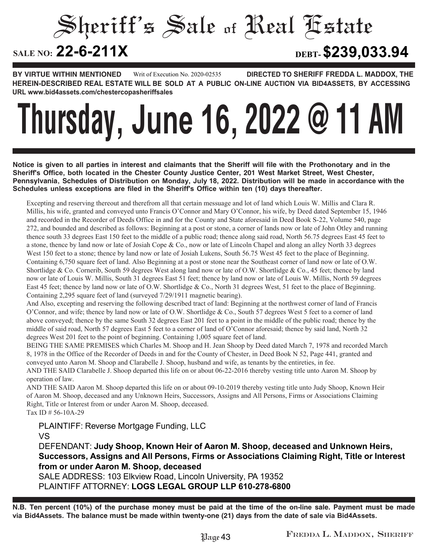#### Sheriff's Sale of Real Estate **SALE NO: 22-6-211X 22-6-211X DEBT-\$239,033.94**

**BY VIRTUE WITHIN MENTIONED DIRECTED TO SHERIFF FREDDA L. MADDOX, THE HEREIN-DESCRIBED REAL ESTATE WILL BE SOLD AT A PUBLIC ON-LINE AUCTION VIA BID4ASSETS, BY ACCESSING URL www.bid4assets.com/chestercopasheriffsales Writ of Execution No. 2020-02535**

# **Thursday, June 16, 2022 @ 11 AM**

**Notice is given to all parties in interest and claimants that the Sheriff will file with the Prothonotary and in the Sheriff's Office, both located in the Chester County Justice Center, 201 West Market Street, West Chester, Pennsylvania, Schedules of Distribution on Monday, July 18, 2022. Distribution will be made in accordance with the Schedules unless exceptions are filed in the Sheriff's Office within ten (10) days thereafter.**

Excepting and reserving thereout and therefrom all that certain messuage and lot of land which Louis W. Millis and Clara R. Millis, his wife, granted and conveyed unto Francis O'Connor and Mary O'Connor, his wife, by Deed dated September 15, 1946 and recorded in the Recorder of Deeds Office in and for the County and State aforesaid in Deed Book S-22, Volume 540, page 272, and bounded and described as follows: Beginning at a post or stone, a corner of lands now or late of John Otley and running thence south 33 degrees East 150 feet to the middle of a public road; thence along said road, North 56.75 degrees East 45 feet to a stone, thence by land now or late of Josiah Cope & Co., now or late of Lincoln Chapel and along an alley North 33 degrees West 150 feet to a stone; thence by land now or late of Josiah Lukens, South 56.75 West 45 feet to the place of Beginning. Containing 6,750 square feet of land. Also Beginning at a post or stone near the Southeast corner of land now or late of O.W. Shortlidge & Co. Cornerib, South 59 degrees West along land now or late of O.W. Shortlidge & Co., 45 feet; thence by land now or late of Louis W. Millis, South 31 degrees East 51 feet; thence by land now or late of Louis W. Millis, North 59 degrees East 45 feet; thence by land now or late of O.W. Shortlidge & Co., North 31 degrees West, 51 feet to the place of Beginning. Containing 2,295 square feet of land (surveyed 7/29/1911 magnetic bearing).

And Also, excepting and reserving the following described tract of land: Beginning at the northwest corner of land of Francis O'Connor, and wife; thence by land now or late of O.W. Shortlidge & Co., South 57 degrees West 5 feet to a corner of land above conveyed; thence by the same South 32 degrees East 201 feet to a point in the middle of the public road; thence by the middle of said road, North 57 degrees East 5 feet to a corner of land of O'Connor aforesaid; thence by said land, North 32 degrees West 201 feet to the point of beginning. Containing 1,005 square feet of land.

BEING THE SAME PREMISES which Charles M. Shoop and H. Jean Shoop by Deed dated March 7, 1978 and recorded March 8, 1978 in the Office of the Recorder of Deeds in and for the County of Chester, in Deed Book N 52, Page 441, granted and conveyed unto Aaron M. Shoop and Clarabelle J. Shoop, husband and wife, as tenants by the entireties, in fee. AND THE SAID Clarabelle J. Shoop departed this life on or about 06-22-2016 thereby vesting title unto Aaron M. Shoop by operation of law.

AND THE SAID Aaron M. Shoop departed this life on or about 09-10-2019 thereby vesting title unto Judy Shoop, Known Heir of Aaron M. Shoop, deceased and any Unknown Heirs, Successors, Assigns and All Persons, Firms or Associations Claiming Right, Title or Interest from or under Aaron M. Shoop, deceased. Tax ID # 56-10A-29

**PLAINTIFF: Reverse Mortgage Funding, LLC VS**

**DEFENDANT: Judy Shoop, Known Heir of Aaron M. Shoop, deceased and Unknown Heirs, Successors, Assigns and All Persons, Firms or Associations Claiming Right, Title or Interest from or under Aaron M. Shoop, deceased**

**SALE ADDRESS: 103 Elkview Road, Lincoln University, PA 19352 PLAINTIFF ATTORNEY: LOGS LEGAL GROUP LLP 610-278-6800**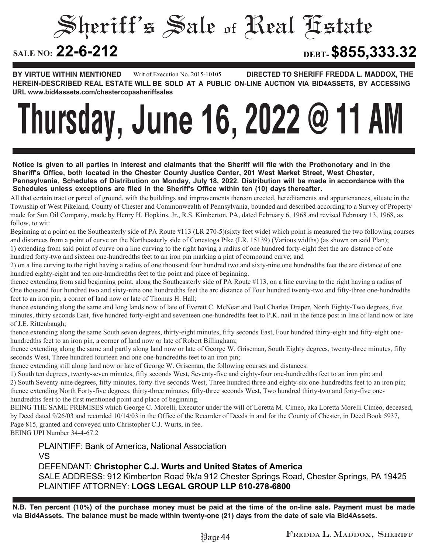### Sheriff's Sale of Real Estate

#### SALE NO: 22-6-212

**22-6-212 DEBT-\$855,333.32**

**BY VIRTUE WITHIN MENTIONED DIRECTED TO SHERIFF FREDDA L. MADDOX, THE HEREIN-DESCRIBED REAL ESTATE WILL BE SOLD AT A PUBLIC ON-LINE AUCTION VIA BID4ASSETS, BY ACCESSING URL www.bid4assets.com/chestercopasheriffsales Writ of Execution No. 2015-10105**

# **Thursday, June 16, 2022 @ 11 AM**

**Notice is given to all parties in interest and claimants that the Sheriff will file with the Prothonotary and in the Sheriff's Office, both located in the Chester County Justice Center, 201 West Market Street, West Chester, Pennsylvania, Schedules of Distribution on Monday, July 18, 2022. Distribution will be made in accordance with the Schedules unless exceptions are filed in the Sheriff's Office within ten (10) days thereafter.**

All that certain tract or parcel of ground, with the buildings and improvements thereon erected, hereditaments and appurtenances, situate in the Township of West Pikeland, County of Chester and Commonwealth of Pennsylvania, bounded and described according to a Survey of Property made for Sun Oil Company, made by Henry H. Hopkins, Jr., R.S. Kimberton, PA, dated February 6, 1968 and revised February 13, 1968, as follow, to wit:

Beginning at a point on the Southeasterly side of PA Route #113 (LR 270-5)(sixty feet wide) which point is measured the two following courses and distances from a point of curve on the Northeasterly side of Conestoga Pike (LR. 15139) (Various widths) (as shown on said Plan); 1) extending from said point of curve on a line curving to the right having a radius of one hundred forty-eight feet the arc distance of one hundred forty-two and sixteen one-hundredths feet to an iron pin marking a pint of compound curve; and

2) on a line curving to the right having a radius of one thousand four hundred two and sixty-nine one hundredths feet the arc distance of one hundred eighty-eight and ten one-hundredths feet to the point and place of beginning.

thence extending from said beginning point, along the Southeasterly side of PA Route #113, on a line curving to the right having a radius of One thousand four hundred two and sixty-nine one hundredths feet the arc distance of Four hundred twenty-two and fifty-three one-hundredths feet to an iron pin, a corner of land now or late of Thomas H. Hall;

thence extending along the same and long lands now of late of Everett C. McNear and Paul Charles Draper, North Eighty-Two degrees, five minutes, thirty seconds East, five hundred forty-eight and seventeen one-hundredths feet to P.K. nail in the fence post in line of land now or late of J.E. Rittenbaugh;

thence extending along the same South seven degrees, thirty-eight minutes, fifty seconds East, Four hundred thirty-eight and fifty-eight onehundredths feet to an iron pin, a corner of land now or late of Robert Billingham;

thence extending along the same and partly along land now or late of George W. Griseman, South Eighty degrees, twenty-three minutes, fifty seconds West, Three hundred fourteen and one one-hundredths feet to an iron pin;

thence extending still along land now or late of George W. Griseman, the following courses and distances:

1) South ten degrees, twenty-seven minutes, fifty seconds West, Seventy-five and eighty-four one-hundredths feet to an iron pin; and 2) South Seventy-nine degrees, fifty minutes, forty-five seconds West, Three hundred three and eighty-six one-hundredths feet to an iron pin; thence extending North Forty-five degrees, thirty-three minutes, fifty-three seconds West, Two hundred thirty-two and forty-five onehundredths feet to the first mentioned point and place of beginning.

BEING THE SAME PREMISES which George C. Morelli, Executor under the will of Loretta M. Cimeo, aka Loretta Morelli Cimeo, deceased, by Deed dated 9/26/03 and recorded 10/14/03 in the Office of the Recorder of Deeds in and for the County of Chester, in Deed Book 5937, Page 815, granted and conveyed unto Christopher C.J. Wurts, in fee.

BEING UPI Number 34-4-67.2

**PLAINTIFF: Bank of America, National Association VS DEFENDANT: Christopher C.J. Wurts and United States of America SALE ADDRESS: 912 Kimberton Road f/k/a 912 Chester Springs Road, Chester Springs, PA 19425 PLAINTIFF ATTORNEY: LOGS LEGAL GROUP LLP 610-278-6800**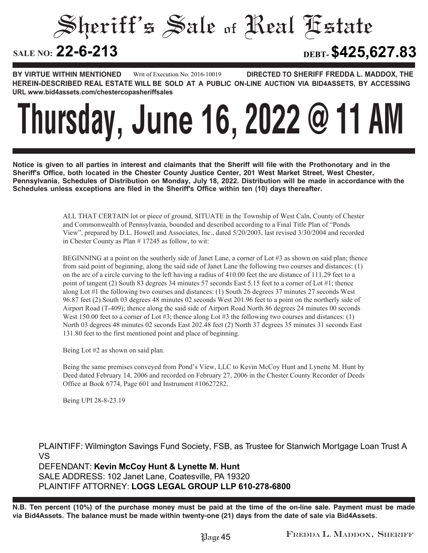### Sheriff's Sale of Real Estate

#### SALE NO: 22-6-213

**22-6-213 DEBT-\$425,627.83**

**BY VIRTUE WITHIN MENTIONED DIRECTED TO SHERIFF FREDDA L. MADDOX, THE HEREIN-DESCRIBED REAL ESTATE WILL BE SOLD AT A PUBLIC ON-LINE AUCTION VIA BID4ASSETS, BY ACCESSING URL www.bid4assets.com/chestercopasheriffsales Writ of Execution No. 2016-10019**

### **Thursday, June 16, 2022 @ 11 AM**

**Notice is given to all parties in interest and claimants that the Sheriff will file with the Prothonotary and in the Sheriff's Office, both located in the Chester County Justice Center, 201 West Market Street, West Chester, Pennsylvania, Schedules of Distribution on Monday, July 18, 2022. Distribution will be made in accordance with the Schedules unless exceptions are filed in the Sheriff's Office within ten (10) days thereafter.**

> ALL THAT CERTAIN lot or piece of ground, SITUATE in the Township of West Caln, County of Chester and Commonwealth of Pennsylvania, bounded and described according to a Final Title Plan of "Ponds View", prepared by D.L. Howell and Associates, Inc., dated 5/20/2003, last revised 3/30/2004 and recorded in Chester County as Plan # 17245 as follow, to wit:

> BEGINNING at a point on the southerly side of Janet Lane, a corner of Lot #3 as shown on said plan; thence from said point of beginning, along the said side of Janet Lane the following two courses and distances: (1) on the arc of a circle curving to the left having a radius of 410.00 feet the arc distance of 111.29 feet to a point of tangent (2) South 83 degrees 34 minutes 57 seconds East 5.15 feet to a corner of Lot #1; thence along Lot #1 the following two courses and distances: (1) South 26 degrees 37 minutes 27 seconds West 96.87 feet (2) South 03 degrees 48 minutes 02 seconds West 201.96 feet to a point on the northerly side of Airport Road (T-409); thence along the said side of Airport Road North 86 degrees 24 minutes 00 seconds West 150.00 feet to a corner of Lot #3; thence along Lot #3 the following two courses and distances: (1) North 03 degrees 48 minutes 02 seconds East 202.48 feet (2) North 37 degrees 35 minutes 31 seconds East 131.80 feet to the first mentioned point and place of beginning.

Being Lot #2 as shown on said plan.

Being the same premises conveyed from Pond's View, LLC to Kevin McCoy Hunt and Lynette M. Hunt by Deed dated February 14, 2006 and recorded on February 27, 2006 in the Chester County Recorder of Deeds Office at Book 6774, Page 601 and Instrument #10627282.

Being UPI 28-8-23.19

**PLAINTIFF: Wilmington Savings Fund Society, FSB, as Trustee for Stanwich Mortgage Loan Trust A VS**

**DEFENDANT: Kevin McCoy Hunt & Lynette M. Hunt SALE ADDRESS: 102 Janet Lane, Coatesville, PA 19320 PLAINTIFF ATTORNEY: LOGS LEGAL GROUP LLP 610-278-6800**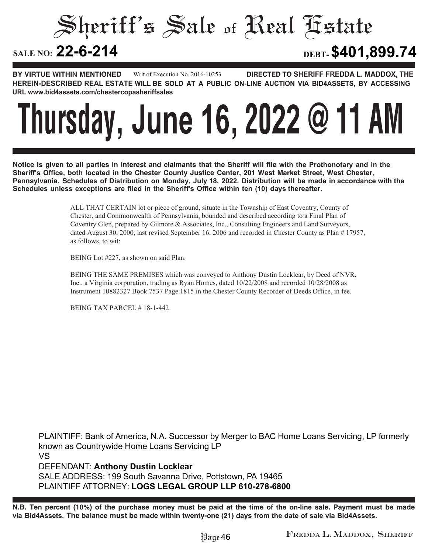#### Sheriff's Sale of Real Estate SALE NO: 22-6-214 **22-6-214 DEBT-\$401,899.74**

**BY VIRTUE WITHIN MENTIONED DIRECTED TO SHERIFF FREDDA L. MADDOX, THE HEREIN-DESCRIBED REAL ESTATE WILL BE SOLD AT A PUBLIC ON-LINE AUCTION VIA BID4ASSETS, BY ACCESSING URL www.bid4assets.com/chestercopasheriffsales Writ of Execution No. 2016-10253**

# **Thursday, June 16, 2022 @ 11 AM**

**Notice is given to all parties in interest and claimants that the Sheriff will file with the Prothonotary and in the Sheriff's Office, both located in the Chester County Justice Center, 201 West Market Street, West Chester, Pennsylvania, Schedules of Distribution on Monday, July 18, 2022. Distribution will be made in accordance with the Schedules unless exceptions are filed in the Sheriff's Office within ten (10) days thereafter.**

> ALL THAT CERTAIN lot or piece of ground, situate in the Township of East Coventry, County of Chester, and Commonwealth of Pennsylvania, bounded and described according to a Final Plan of Coventry Glen, prepared by Gilmore & Associates, Inc., Consulting Engineers and Land Surveyors, dated August 30, 2000, last revised September 16, 2006 and recorded in Chester County as Plan # 17957, as follows, to wit:

BEING Lot #227, as shown on said Plan.

BEING THE SAME PREMISES which was conveyed to Anthony Dustin Locklear, by Deed of NVR, Inc., a Virginia corporation, trading as Ryan Homes, dated 10/22/2008 and recorded 10/28/2008 as Instrument 10882327 Book 7537 Page 1815 in the Chester County Recorder of Deeds Office, in fee.

BEING TAX PARCEL # 18-1-442

**PLAINTIFF: Bank of America, N.A. Successor by Merger to BAC Home Loans Servicing, LP formerly known as Countrywide Home Loans Servicing LP VS DEFENDANT: Anthony Dustin Locklear SALE ADDRESS: 199 South Savanna Drive, Pottstown, PA 19465 PLAINTIFF ATTORNEY: LOGS LEGAL GROUP LLP 610-278-6800**